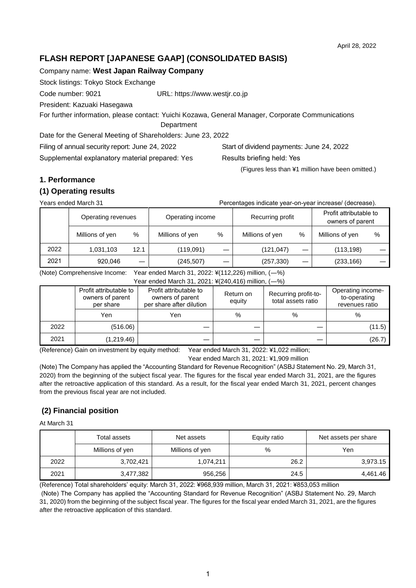# **FLASH REPORT [JAPANESE GAAP] (CONSOLIDATED BASIS)**

Company name: **West Japan Railway Company**

Stock listings: Tokyo Stock Exchange

Code number: 9021 URL: https://www.westjr.co.jp

President: Kazuaki Hasegawa

For further information, please contact: Yuichi Kozawa, General Manager, Corporate Communications

**Department** 

Date for the General Meeting of Shareholders: June 23, 2022

Filing of annual security report: June 24, 2022 Start of dividend payments: June 24, 2022

Supplemental explanatory material prepared: Yes Results briefing held: Yes

(Figures less than ¥1 million have been omitted.)

# **1. Performance**

### **(1) Operating results**

Years ended March 31 Percentages indicate year-on-year increase/ (decrease).

Operating revenues Operating income Recurring profit Profit attributable to owners of parent Millions of yen % | Millions of yen % | Millions of yen % | Millions of yen % | 2022 1,031,103 12.1 (119,091) ― (121,047) ― (113,198) ― 2021 920,046 ― (245,507) ― (257,330) ― (233,166) ―

(Note) Comprehensive Income: Year ended March 31, 2022: ¥(112,226) million, (―%)

|      | Year ended March 31, 2021: ¥(240,416) million, (-%)     |                                                                        |                     |                                            |                                                     |  |  |  |
|------|---------------------------------------------------------|------------------------------------------------------------------------|---------------------|--------------------------------------------|-----------------------------------------------------|--|--|--|
|      | Profit attributable to<br>owners of parent<br>per share | Profit attributable to<br>owners of parent<br>per share after dilution | Return on<br>equity | Recurring profit-to-<br>total assets ratio | Operating income-<br>to-operating<br>revenues ratio |  |  |  |
|      | Yen                                                     | Yen                                                                    | %                   | %                                          | %                                                   |  |  |  |
| 2022 | (516.06)                                                |                                                                        |                     |                                            | (11.5)                                              |  |  |  |
| 2021 | (1,219.46)                                              |                                                                        |                     |                                            | (26.7)                                              |  |  |  |

(Reference) Gain on investment by equity method: Year ended March 31, 2022: ¥1,022 million;

Year ended March 31, 2021: ¥1,909 million

(Note) The Company has applied the "Accounting Standard for Revenue Recognition" (ASBJ Statement No. 29, March 31, 2020) from the beginning of the subject fiscal year. The figures for the fiscal year ended March 31, 2021, are the figures after the retroactive application of this standard. As a result, for the fiscal year ended March 31, 2021, percent changes from the previous fiscal year are not included.

# **(2) Financial position**

At March 31

|      | Total assets    | Net assets      | Equity ratio | Net assets per share |  |
|------|-----------------|-----------------|--------------|----------------------|--|
|      | Millions of yen | Millions of yen | %            | Yen                  |  |
| 2022 | 3,702,421       | 1,074,211       | 26.2         | 3,973.15             |  |
| 2021 | 3,477,382       | 956,256         | 24.5         | 4,461.46             |  |

(Reference) Total shareholders' equity: March 31, 2022: ¥968,939 million, March 31, 2021: ¥853,053 million (Note) The Company has applied the "Accounting Standard for Revenue Recognition" (ASBJ Statement No. 29, March 31, 2020) from the beginning of the subject fiscal year. The figures for the fiscal year ended March 31, 2021, are the figures after the retroactive application of this standard.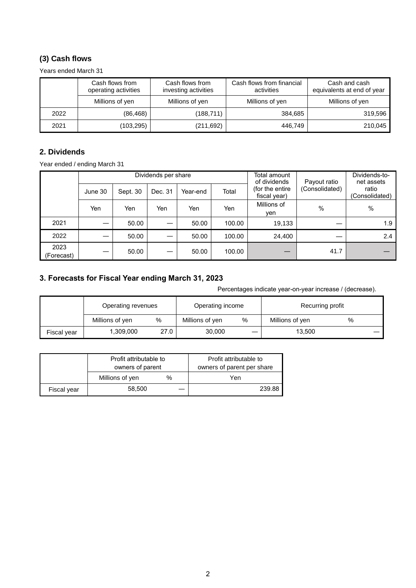# **(3) Cash flows**

Years ended March 31

|      | Cash flows from<br>operating activities | Cash flows from<br>investing activities | Cash flows from financial<br>activities | Cash and cash<br>equivalents at end of year |
|------|-----------------------------------------|-----------------------------------------|-----------------------------------------|---------------------------------------------|
|      | Millions of yen                         | Millions of yen                         | Millions of yen                         | Millions of yen                             |
| 2022 | (86, 468)                               | (188, 711)                              | 384,685                                 | 319,596                                     |
| 2021 | (103,295)                               | (211, 692)                              | 446,749                                 | 210,045                                     |

# **2. Dividends**

Year ended / ending March 31

|                    |         |          | Dividends per share |          |        | Total amount<br>of dividends    | Payout ratio   | Dividends-to-<br>net assets |  |
|--------------------|---------|----------|---------------------|----------|--------|---------------------------------|----------------|-----------------------------|--|
|                    | June 30 | Sept. 30 | Dec. 31             | Year-end | Total  | (for the entire<br>fiscal year) | (Consolidated) | ratio<br>(Consolidated)     |  |
|                    | Yen     | Yen      | Yen                 | Yen      | Yen    | Millions of<br>yen              | $\%$           | $\%$                        |  |
| 2021               |         | 50.00    |                     | 50.00    | 100.00 | 19,133                          |                | 1.9                         |  |
| 2022               |         | 50.00    |                     | 50.00    | 100.00 | 24,400                          |                | 2.4                         |  |
| 2023<br>(Forecast) |         | 50.00    |                     | 50.00    | 100.00 | –                               | 41.7           |                             |  |

# **3. Forecasts for Fiscal Year ending March 31, 2023**

Percentages indicate year-on-year increase / (decrease).

|             |                    |      |                  |   | r crochlages indicate year-ori-year increase / (decrease). |   |  |
|-------------|--------------------|------|------------------|---|------------------------------------------------------------|---|--|
|             | Operating revenues |      | Operating income |   | Recurring profit                                           |   |  |
|             | Millions of yen    | %    | Millions of yen  | % | Millions of yen                                            | % |  |
| Fiscal year | 1,309,000          | 27.0 | 30,000           |   | 13.500                                                     |   |  |

|             | Profit attributable to<br>owners of parent |   | Profit attributable to<br>owners of parent per share |  |  |
|-------------|--------------------------------------------|---|------------------------------------------------------|--|--|
|             | Millions of yen                            | % | Yen                                                  |  |  |
| Fiscal year | 58.500                                     |   | 239.88                                               |  |  |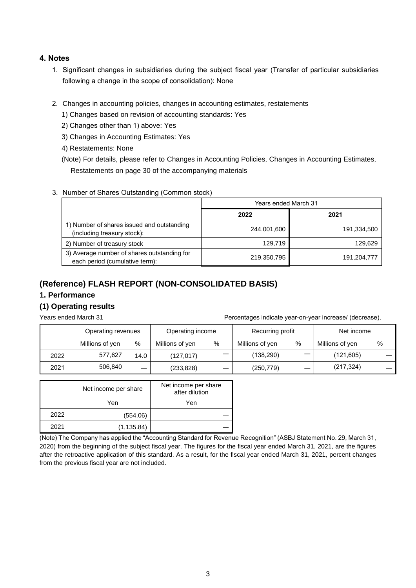### **4. Notes**

- 1. Significant changes in subsidiaries during the subject fiscal year (Transfer of particular subsidiaries following a change in the scope of consolidation): None
- 2. Changes in accounting policies, changes in accounting estimates, restatements
	- 1) Changes based on revision of accounting standards: Yes
	- 2) Changes other than 1) above: Yes
	- 3) Changes in Accounting Estimates: Yes
	- 4) Restatements: None

(Note) For details, please refer to Changes in Accounting Policies, Changes in Accounting Estimates, Restatements on page 30 of the accompanying materials

### 3. Number of Shares Outstanding (Common stock)

|                                                                               | <b>Years ended March 31</b> |             |  |  |
|-------------------------------------------------------------------------------|-----------------------------|-------------|--|--|
|                                                                               | 2022                        | 2021        |  |  |
| 1) Number of shares issued and outstanding<br>(including treasury stock):     | 244,001,600                 | 191,334,500 |  |  |
| 2) Number of treasury stock                                                   | 129,719                     | 129,629     |  |  |
| 3) Average number of shares outstanding for<br>each period (cumulative term): | 219,350,795                 | 191,204,777 |  |  |

# **(Reference) FLASH REPORT (NON-CONSOLIDATED BASIS)**

### **1. Performance**

### **(1) Operating results**

Years ended March 31 Percentages indicate year-on-year increase/ (decrease).

|      | Operating revenues |                          | Operating income |   | Recurring profit |   | Net income      |   |
|------|--------------------|--------------------------|------------------|---|------------------|---|-----------------|---|
|      | Millions of yen    | %                        | Millions of yen  | % | Millions of yen  | % | Millions of yen | % |
| 2022 | 577.627            | 14.0                     | (127.017)        |   | (138, 290)       |   | (121, 605)      |   |
| 2021 | 506.840            | $\overline{\phantom{m}}$ | (233, 828)       |   | (250, 779)       |   | (217, 324)      |   |

|      | Net income per share | Net income per share<br>after dilution |
|------|----------------------|----------------------------------------|
|      | Yen                  | Yen                                    |
| 2022 | (554.06)             |                                        |
| 2021 | (1, 135.84)          |                                        |

(Note) The Company has applied the "Accounting Standard for Revenue Recognition" (ASBJ Statement No. 29, March 31, 2020) from the beginning of the subject fiscal year. The figures for the fiscal year ended March 31, 2021, are the figures after the retroactive application of this standard. As a result, for the fiscal year ended March 31, 2021, percent changes from the previous fiscal year are not included.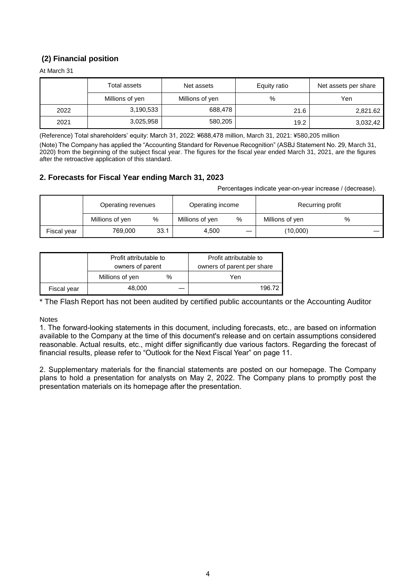# **(2) Financial position**

At March 31

|      | Total assets    | Net assets      | Equity ratio | Net assets per share |
|------|-----------------|-----------------|--------------|----------------------|
|      | Millions of yen | Millions of yen | %            | Yen                  |
| 2022 | 3,190,533       | 688,478         | 21.6         | 2,821.62             |
| 2021 | 3,025,958       | 580,205         | 19.2         | 3,032,42             |

(Reference) Total shareholders' equity: March 31, 2022: ¥688,478 million, March 31, 2021: ¥580,205 million

(Note) The Company has applied the "Accounting Standard for Revenue Recognition" (ASBJ Statement No. 29, March 31, 2020) from the beginning of the subject fiscal year. The figures for the fiscal year ended March 31, 2021, are the figures after the retroactive application of this standard.

### **2. Forecasts for Fiscal Year ending March 31, 2023**

Percentages indicate year-on-year increase / (decrease).

|             | Operating revenues |      | Operating income |   | Recurring profit |   |  |
|-------------|--------------------|------|------------------|---|------------------|---|--|
|             | Millions of yen    | %    | Millions of yen  | % | Millions of yen  | % |  |
| Fiscal year | 769,000            | 33.1 | 4,500            |   | (10,000)         |   |  |

|             | Profit attributable to |   | Profit attributable to     |  |  |
|-------------|------------------------|---|----------------------------|--|--|
|             | owners of parent       |   | owners of parent per share |  |  |
|             | Millions of yen        | % | Yen                        |  |  |
| Fiscal year | 48.000                 |   | 196.72                     |  |  |

\* The Flash Report has not been audited by certified public accountants or the Accounting Auditor

Notes

1. The forward-looking statements in this document, including forecasts, etc., are based on information available to the Company at the time of this document's release and on certain assumptions considered reasonable. Actual results, etc., might differ significantly due various factors. Regarding the forecast of financial results, please refer to "Outlook for the Next Fiscal Year" on page 11.

2. Supplementary materials for the financial statements are posted on our homepage. The Company plans to hold a presentation for analysts on May 2, 2022. The Company plans to promptly post the presentation materials on its homepage after the presentation.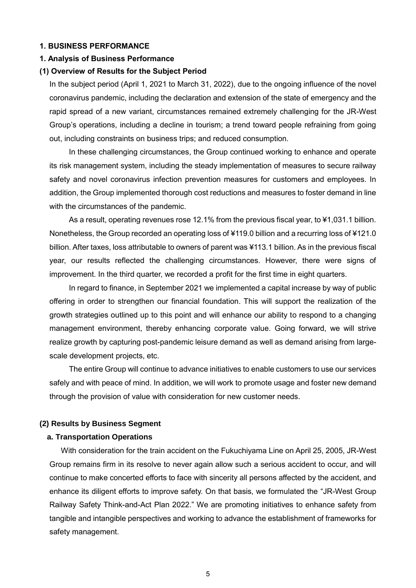### **1. BUSINESS PERFORMANCE**

#### **1. Analysis of Business Performance**

#### **(1) Overview of Results for the Subject Period**

In the subject period (April 1, 2021 to March 31, 2022), due to the ongoing influence of the novel coronavirus pandemic, including the declaration and extension of the state of emergency and the rapid spread of a new variant, circumstances remained extremely challenging for the JR-West Group's operations, including a decline in tourism; a trend toward people refraining from going out, including constraints on business trips; and reduced consumption.

In these challenging circumstances, the Group continued working to enhance and operate its risk management system, including the steady implementation of measures to secure railway safety and novel coronavirus infection prevention measures for customers and employees. In addition, the Group implemented thorough cost reductions and measures to foster demand in line with the circumstances of the pandemic.

As a result, operating revenues rose 12.1% from the previous fiscal year, to ¥1,031.1 billion. Nonetheless, the Group recorded an operating loss of ¥119.0 billion and a recurring loss of ¥121.0 billion. After taxes, loss attributable to owners of parent was ¥113.1 billion. As in the previous fiscal year, our results reflected the challenging circumstances. However, there were signs of improvement. In the third quarter, we recorded a profit for the first time in eight quarters.

In regard to finance, in September 2021 we implemented a capital increase by way of public offering in order to strengthen our financial foundation. This will support the realization of the growth strategies outlined up to this point and will enhance our ability to respond to a changing management environment, thereby enhancing corporate value. Going forward, we will strive realize growth by capturing post-pandemic leisure demand as well as demand arising from largescale development projects, etc.

The entire Group will continue to advance initiatives to enable customers to use our services safely and with peace of mind. In addition, we will work to promote usage and foster new demand through the provision of value with consideration for new customer needs.

### **(2) Results by Business Segment**

#### **a. Transportation Operations**

With consideration for the train accident on the Fukuchiyama Line on April 25, 2005, JR-West Group remains firm in its resolve to never again allow such a serious accident to occur, and will continue to make concerted efforts to face with sincerity all persons affected by the accident, and enhance its diligent efforts to improve safety. On that basis, we formulated the "JR-West Group Railway Safety Think-and-Act Plan 2022." We are promoting initiatives to enhance safety from tangible and intangible perspectives and working to advance the establishment of frameworks for safety management.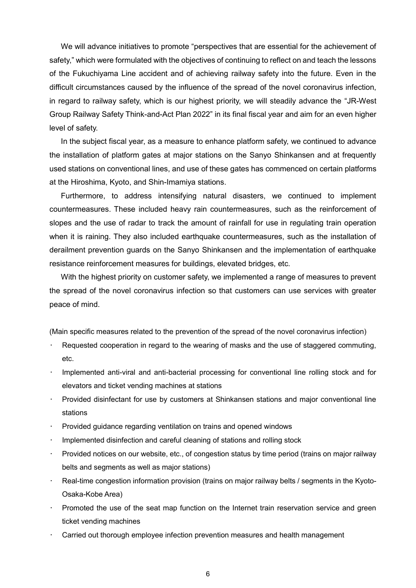We will advance initiatives to promote "perspectives that are essential for the achievement of safety," which were formulated with the objectives of continuing to reflect on and teach the lessons of the Fukuchiyama Line accident and of achieving railway safety into the future. Even in the difficult circumstances caused by the influence of the spread of the novel coronavirus infection, in regard to railway safety, which is our highest priority, we will steadily advance the "JR-West Group Railway Safety Think-and-Act Plan 2022" in its final fiscal year and aim for an even higher level of safety.

In the subject fiscal year, as a measure to enhance platform safety, we continued to advance the installation of platform gates at major stations on the Sanyo Shinkansen and at frequently used stations on conventional lines, and use of these gates has commenced on certain platforms at the Hiroshima, Kyoto, and Shin-Imamiya stations.

Furthermore, to address intensifying natural disasters, we continued to implement countermeasures. These included heavy rain countermeasures, such as the reinforcement of slopes and the use of radar to track the amount of rainfall for use in regulating train operation when it is raining. They also included earthquake countermeasures, such as the installation of derailment prevention guards on the Sanyo Shinkansen and the implementation of earthquake resistance reinforcement measures for buildings, elevated bridges, etc.

With the highest priority on customer safety, we implemented a range of measures to prevent the spread of the novel coronavirus infection so that customers can use services with greater peace of mind.

(Main specific measures related to the prevention of the spread of the novel coronavirus infection)

- Requested cooperation in regard to the wearing of masks and the use of staggered commuting, etc.
- Implemented anti-viral and anti-bacterial processing for conventional line rolling stock and for elevators and ticket vending machines at stations
- Provided disinfectant for use by customers at Shinkansen stations and major conventional line stations
- Provided guidance regarding ventilation on trains and opened windows
- Implemented disinfection and careful cleaning of stations and rolling stock
- Provided notices on our website, etc., of congestion status by time period (trains on major railway belts and segments as well as major stations)
- Real-time congestion information provision (trains on major railway belts / segments in the Kyoto-Osaka-Kobe Area)
- Promoted the use of the seat map function on the Internet train reservation service and green ticket vending machines
- Carried out thorough employee infection prevention measures and health management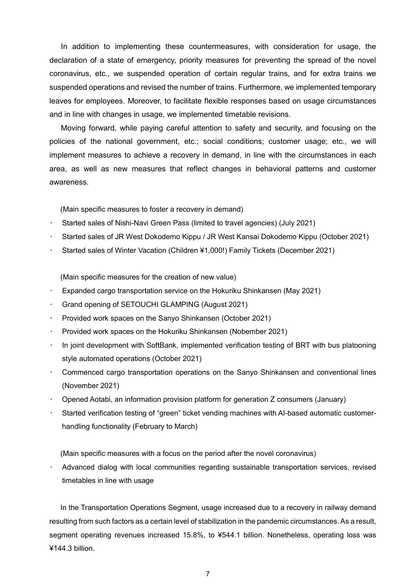In addition to implementing these countermeasures, with consideration for usage, the declaration of a state of emergency, priority measures for preventing the spread of the novel coronavirus, etc., we suspended operation of certain regular trains, and for extra trains we suspended operations and revised the number of trains. Furthermore, we implemented temporary leaves for employees. Moreover, to facilitate flexible responses based on usage circumstances and in line with changes in usage, we implemented timetable revisions.

Moving forward, while paying careful attention to safety and security, and focusing on the policies of the national government, etc.; social conditions; customer usage; etc., we will implement measures to achieve a recovery in demand, in line with the circumstances in each area, as well as new measures that reflect changes in behavioral patterns and customer awareness.

(Main specific measures to foster a recovery in demand)

- Started sales of Nishi-Navi Green Pass (limited to travel agencies) (July 2021)
- Started sales of JR West Dokodemo Kippu / JR West Kansai Dokodemo Kippu (October 2021)
- Started sales of Winter Vacation (Children ¥1,000!) Family Tickets (December 2021)

(Main specific measures for the creation of new value)

- Expanded cargo transportation service on the Hokuriku Shinkansen (May 2021)
- Grand opening of SETOUCHI GLAMPING (August 2021)
- Provided work spaces on the Sanyo Shinkansen (October 2021)
- Provided work spaces on the Hokuriku Shinkansen (Nobember 2021)
- In joint development with SoftBank, implemented verification testing of BRT with bus platooning style automated operations (October 2021)
- Commenced cargo transportation operations on the Sanyo Shinkansen and conventional lines (November 2021)
- Opened Aotabi, an information provision platform for generation Z consumers (January)
- Started verification testing of "green" ticket vending machines with AI-based automatic customerhandling functionality (February to March)

(Main specific measures with a focus on the period after the novel coronavirus)

• Advanced dialog with local communities regarding sustainable transportation services, revised timetables in line with usage

In the Transportation Operations Segment, usage increased due to a recovery in railway demand resulting from such factors as a certain level of stabilization in the pandemic circumstances. As a result, segment operating revenues increased 15.8%, to ¥544.1 billion. Nonetheless, operating loss was ¥144.3 billion.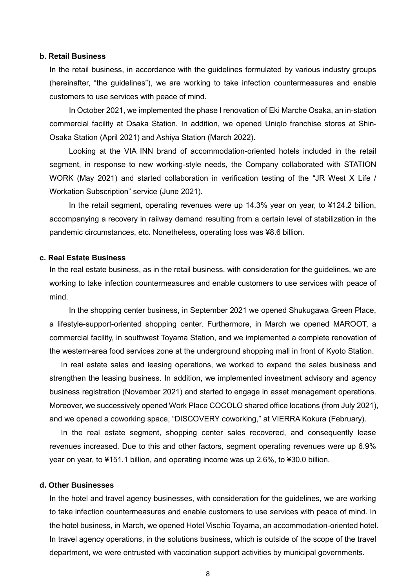#### **b. Retail Business**

In the retail business, in accordance with the guidelines formulated by various industry groups (hereinafter, "the guidelines"), we are working to take infection countermeasures and enable customers to use services with peace of mind.

In October 2021, we implemented the phase I renovation of Eki Marche Osaka, an in-station commercial facility at Osaka Station. In addition, we opened Uniqlo franchise stores at Shin-Osaka Station (April 2021) and Ashiya Station (March 2022).

Looking at the VIA INN brand of accommodation-oriented hotels included in the retail segment, in response to new working-style needs, the Company collaborated with STATION WORK (May 2021) and started collaboration in verification testing of the "JR West X Life / Workation Subscription" service (June 2021).

In the retail segment, operating revenues were up 14.3% year on year, to ¥124.2 billion, accompanying a recovery in railway demand resulting from a certain level of stabilization in the pandemic circumstances, etc. Nonetheless, operating loss was ¥8.6 billion.

### **c. Real Estate Business**

In the real estate business, as in the retail business, with consideration for the guidelines, we are working to take infection countermeasures and enable customers to use services with peace of mind.

In the shopping center business, in September 2021 we opened Shukugawa Green Place, a lifestyle-support-oriented shopping center. Furthermore, in March we opened MAROOT, a commercial facility, in southwest Toyama Station, and we implemented a complete renovation of the western-area food services zone at the underground shopping mall in front of Kyoto Station.

In real estate sales and leasing operations, we worked to expand the sales business and strengthen the leasing business. In addition, we implemented investment advisory and agency business registration (November 2021) and started to engage in asset management operations. Moreover, we successively opened Work Place COCOLO shared office locations (from July 2021), and we opened a coworking space, "DISCOVERY coworking," at VIERRA Kokura (February).

In the real estate segment, shopping center sales recovered, and consequently lease revenues increased. Due to this and other factors, segment operating revenues were up 6.9% year on year, to ¥151.1 billion, and operating income was up 2.6%, to ¥30.0 billion.

### **d. Other Businesses**

In the hotel and travel agency businesses, with consideration for the guidelines, we are working to take infection countermeasures and enable customers to use services with peace of mind. In the hotel business, in March, we opened Hotel Vischio Toyama, an accommodation-oriented hotel. In travel agency operations, in the solutions business, which is outside of the scope of the travel department, we were entrusted with vaccination support activities by municipal governments.

8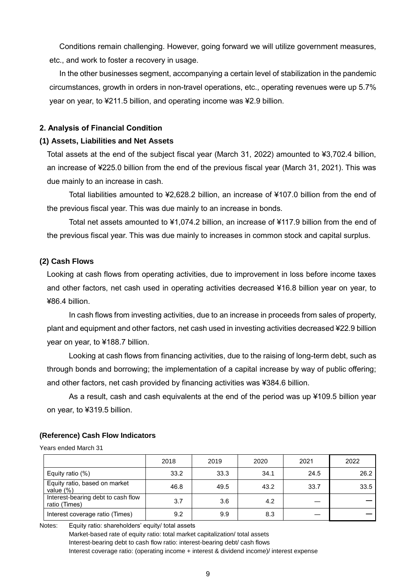Conditions remain challenging. However, going forward we will utilize government measures, etc., and work to foster a recovery in usage.

In the other businesses segment, accompanying a certain level of stabilization in the pandemic circumstances, growth in orders in non-travel operations, etc., operating revenues were up 5.7% year on year, to ¥211.5 billion, and operating income was ¥2.9 billion.

### **2. Analysis of Financial Condition**

#### **(1) Assets, Liabilities and Net Assets**

Total assets at the end of the subject fiscal year (March 31, 2022) amounted to ¥3,702.4 billion, an increase of ¥225.0 billion from the end of the previous fiscal year (March 31, 2021). This was due mainly to an increase in cash.

Total liabilities amounted to ¥2,628.2 billion, an increase of ¥107.0 billion from the end of the previous fiscal year. This was due mainly to an increase in bonds.

Total net assets amounted to ¥1,074.2 billion, an increase of ¥117.9 billion from the end of the previous fiscal year. This was due mainly to increases in common stock and capital surplus.

### **(2) Cash Flows**

Looking at cash flows from operating activities, due to improvement in loss before income taxes and other factors, net cash used in operating activities decreased ¥16.8 billion year on year, to ¥86.4 billion.

In cash flows from investing activities, due to an increase in proceeds from sales of property, plant and equipment and other factors, net cash used in investing activities decreased ¥22.9 billion year on year, to ¥188.7 billion.

Looking at cash flows from financing activities, due to the raising of long-term debt, such as through bonds and borrowing; the implementation of a capital increase by way of public offering; and other factors, net cash provided by financing activities was ¥384.6 billion.

As a result, cash and cash equivalents at the end of the period was up ¥109.5 billion year on year, to ¥319.5 billion.

#### **(Reference) Cash Flow Indicators**

Years ended March 31

|                                                     | 2018 | 2019 | 2020 | 2021 | 2022 |
|-----------------------------------------------------|------|------|------|------|------|
| Equity ratio (%)                                    | 33.2 | 33.3 | 34.1 | 24.5 | 26.2 |
| Equity ratio, based on market<br>value $(\%)$       | 46.8 | 49.5 | 43.2 | 33.7 | 33.5 |
| Interest-bearing debt to cash flow<br>ratio (Times) | 3.7  | 3.6  | 4.2  |      |      |
| Interest coverage ratio (Times)                     | 9.2  | 9.9  | 8.3  |      |      |

Notes: Equity ratio: shareholders' equity/ total assets

Market-based rate of equity ratio: total market capitalization/ total assets Interest-bearing debt to cash flow ratio: interest-bearing debt/ cash flows Interest coverage ratio: (operating income + interest & dividend income)/ interest expense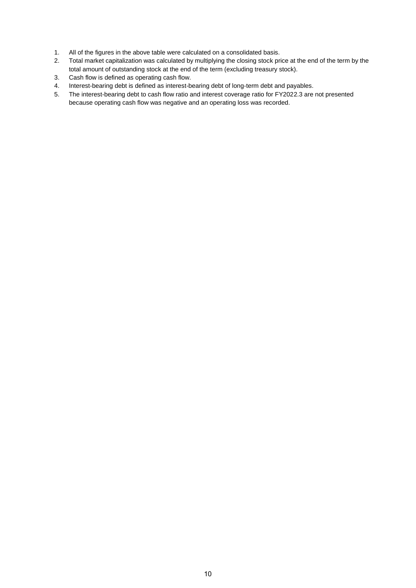- 1. All of the figures in the above table were calculated on a consolidated basis.
- 2. Total market capitalization was calculated by multiplying the closing stock price at the end of the term by the total amount of outstanding stock at the end of the term (excluding treasury stock).
- 3. Cash flow is defined as operating cash flow.
- 4. Interest-bearing debt is defined as interest-bearing debt of long-term debt and payables.
- 5. The interest-bearing debt to cash flow ratio and interest coverage ratio for FY2022.3 are not presented because operating cash flow was negative and an operating loss was recorded.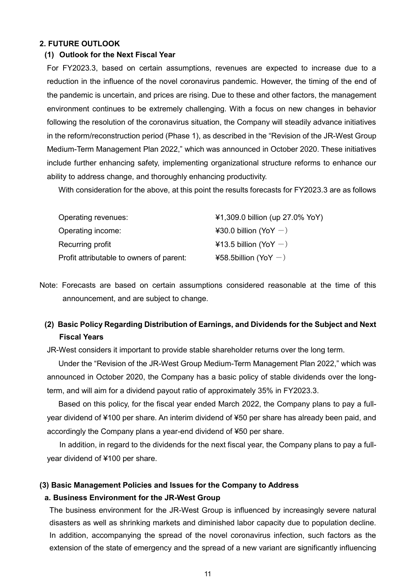## **2. FUTURE OUTLOOK**

#### **(1) Outlook for the Next Fiscal Year**

For FY2023.3, based on certain assumptions, revenues are expected to increase due to a reduction in the influence of the novel coronavirus pandemic. However, the timing of the end of the pandemic is uncertain, and prices are rising. Due to these and other factors, the management environment continues to be extremely challenging. With a focus on new changes in behavior following the resolution of the coronavirus situation, the Company will steadily advance initiatives in the reform/reconstruction period (Phase 1), as described in the "Revision of the JR-West Group Medium-Term Management Plan 2022," which was announced in October 2020. These initiatives include further enhancing safety, implementing organizational structure reforms to enhance our ability to address change, and thoroughly enhancing productivity.

With consideration for the above, at this point the results forecasts for FY2023.3 are as follows

| Operating revenues:                      | ¥1,309.0 billion (up 27.0% YoY) |
|------------------------------------------|---------------------------------|
| Operating income:                        | ¥30.0 billion (YoY $-$ )        |
| Recurring profit                         | ¥13.5 billion (YoY $-$ )        |
| Profit attributable to owners of parent: | ¥58.5billion (YoY $-$ )         |

Note: Forecasts are based on certain assumptions considered reasonable at the time of this announcement, and are subject to change.

# **(2) Basic Policy Regarding Distribution of Earnings, and Dividends for the Subject and Next Fiscal Years**

JR-West considers it important to provide stable shareholder returns over the long term.

Under the "Revision of the JR-West Group Medium-Term Management Plan 2022," which was announced in October 2020, the Company has a basic policy of stable dividends over the longterm, and will aim for a dividend payout ratio of approximately 35% in FY2023.3.

Based on this policy, for the fiscal year ended March 2022, the Company plans to pay a fullyear dividend of ¥100 per share. An interim dividend of ¥50 per share has already been paid, and accordingly the Company plans a year-end dividend of ¥50 per share.

In addition, in regard to the dividends for the next fiscal year, the Company plans to pay a fullyear dividend of ¥100 per share.

#### **(3) Basic Management Policies and Issues for the Company to Address**

#### **a. Business Environment for the JR-West Group**

The business environment for the JR-West Group is influenced by increasingly severe natural disasters as well as shrinking markets and diminished labor capacity due to population decline. In addition, accompanying the spread of the novel coronavirus infection, such factors as the extension of the state of emergency and the spread of a new variant are significantly influencing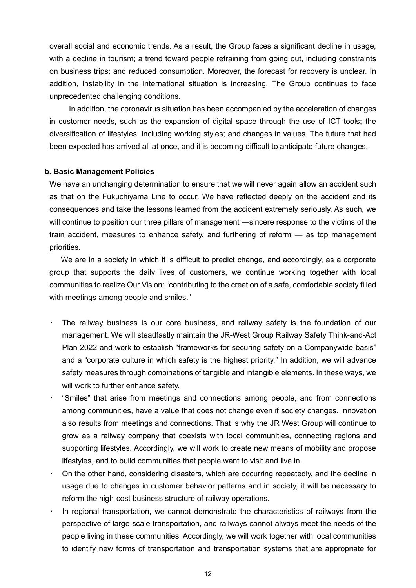overall social and economic trends. As a result, the Group faces a significant decline in usage, with a decline in tourism; a trend toward people refraining from going out, including constraints on business trips; and reduced consumption. Moreover, the forecast for recovery is unclear. In addition, instability in the international situation is increasing. The Group continues to face unprecedented challenging conditions.

In addition, the coronavirus situation has been accompanied by the acceleration of changes in customer needs, such as the expansion of digital space through the use of ICT tools; the diversification of lifestyles, including working styles; and changes in values. The future that had been expected has arrived all at once, and it is becoming difficult to anticipate future changes.

### **b. Basic Management Policies**

We have an unchanging determination to ensure that we will never again allow an accident such as that on the Fukuchiyama Line to occur. We have reflected deeply on the accident and its consequences and take the lessons learned from the accident extremely seriously. As such, we will continue to position our three pillars of management —sincere response to the victims of the train accident, measures to enhance safety, and furthering of reform — as top management priorities.

We are in a society in which it is difficult to predict change, and accordingly, as a corporate group that supports the daily lives of customers, we continue working together with local communities to realize Our Vision: "contributing to the creation of a safe, comfortable society filled with meetings among people and smiles."

- The railway business is our core business, and railway safety is the foundation of our management. We will steadfastly maintain the JR-West Group Railway Safety Think-and-Act Plan 2022 and work to establish "frameworks for securing safety on a Companywide basis" and a "corporate culture in which safety is the highest priority." In addition, we will advance safety measures through combinations of tangible and intangible elements. In these ways, we will work to further enhance safety.
- "Smiles" that arise from meetings and connections among people, and from connections among communities, have a value that does not change even if society changes. Innovation also results from meetings and connections. That is why the JR West Group will continue to grow as a railway company that coexists with local communities, connecting regions and supporting lifestyles. Accordingly, we will work to create new means of mobility and propose lifestyles, and to build communities that people want to visit and live in.
- On the other hand, considering disasters, which are occurring repeatedly, and the decline in usage due to changes in customer behavior patterns and in society, it will be necessary to reform the high-cost business structure of railway operations.
- In regional transportation, we cannot demonstrate the characteristics of railways from the perspective of large-scale transportation, and railways cannot always meet the needs of the people living in these communities. Accordingly, we will work together with local communities to identify new forms of transportation and transportation systems that are appropriate for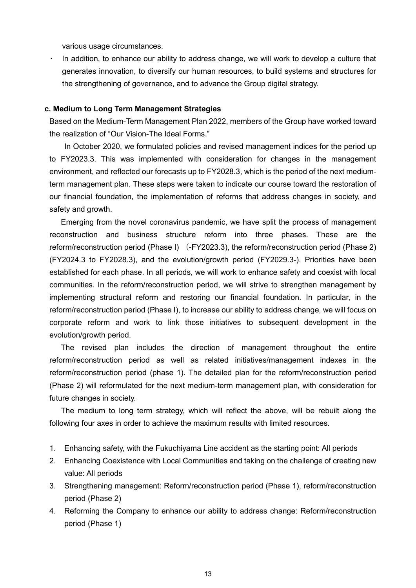various usage circumstances.

• In addition, to enhance our ability to address change, we will work to develop a culture that generates innovation, to diversify our human resources, to build systems and structures for the strengthening of governance, and to advance the Group digital strategy.

### **c. Medium to Long Term Management Strategies**

Based on the Medium-Term Management Plan 2022, members of the Group have worked toward the realization of "Our Vision-The Ideal Forms."

In October 2020, we formulated policies and revised management indices for the period up to FY2023.3. This was implemented with consideration for changes in the management environment, and reflected our forecasts up to FY2028.3, which is the period of the next mediumterm management plan. These steps were taken to indicate our course toward the restoration of our financial foundation, the implementation of reforms that address changes in society, and safety and growth.

Emerging from the novel coronavirus pandemic, we have split the process of management reconstruction and business structure reform into three phases. These are the reform/reconstruction period (Phase I) (-FY2023.3), the reform/reconstruction period (Phase 2) (FY2024.3 to FY2028.3), and the evolution/growth period (FY2029.3-). Priorities have been established for each phase. In all periods, we will work to enhance safety and coexist with local communities. In the reform/reconstruction period, we will strive to strengthen management by implementing structural reform and restoring our financial foundation. In particular, in the reform/reconstruction period (Phase I), to increase our ability to address change, we will focus on corporate reform and work to link those initiatives to subsequent development in the evolution/growth period.

The revised plan includes the direction of management throughout the entire reform/reconstruction period as well as related initiatives/management indexes in the reform/reconstruction period (phase 1). The detailed plan for the reform/reconstruction period (Phase 2) will reformulated for the next medium-term management plan, with consideration for future changes in society.

The medium to long term strategy, which will reflect the above, will be rebuilt along the following four axes in order to achieve the maximum results with limited resources.

- 1. Enhancing safety, with the Fukuchiyama Line accident as the starting point: All periods
- 2. Enhancing Coexistence with Local Communities and taking on the challenge of creating new value: All periods
- 3. Strengthening management: Reform/reconstruction period (Phase 1), reform/reconstruction period (Phase 2)
- 4. Reforming the Company to enhance our ability to address change: Reform/reconstruction period (Phase 1)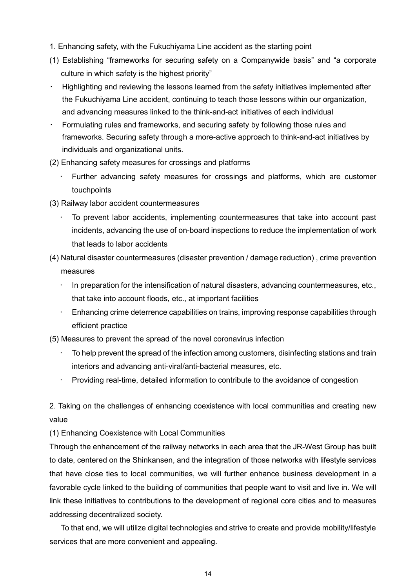- 1. Enhancing safety, with the Fukuchiyama Line accident as the starting point
- (1) Establishing "frameworks for securing safety on a Companywide basis" and "a corporate culture in which safety is the highest priority"
- Highlighting and reviewing the lessons learned from the safety initiatives implemented after the Fukuchiyama Line accident, continuing to teach those lessons within our organization, and advancing measures linked to the think-and-act initiatives of each individual
- Formulating rules and frameworks, and securing safety by following those rules and frameworks. Securing safety through a more-active approach to think-and-act initiatives by individuals and organizational units.
- (2) Enhancing safety measures for crossings and platforms
	- Further advancing safety measures for crossings and platforms, which are customer touchpoints
- (3) Railway labor accident countermeasures
	- To prevent labor accidents, implementing countermeasures that take into account past incidents, advancing the use of on-board inspections to reduce the implementation of work that leads to labor accidents
- (4) Natural disaster countermeasures (disaster prevention / damage reduction) , crime prevention measures
	- In preparation for the intensification of natural disasters, advancing countermeasures, etc., that take into account floods, etc., at important facilities
	- Enhancing crime deterrence capabilities on trains, improving response capabilities through efficient practice
- (5) Measures to prevent the spread of the novel coronavirus infection
	- To help prevent the spread of the infection among customers, disinfecting stations and train interiors and advancing anti-viral/anti-bacterial measures, etc.
	- Providing real-time, detailed information to contribute to the avoidance of congestion

2. Taking on the challenges of enhancing coexistence with local communities and creating new value

(1) Enhancing Coexistence with Local Communities

Through the enhancement of the railway networks in each area that the JR-West Group has built to date, centered on the Shinkansen, and the integration of those networks with lifestyle services that have close ties to local communities, we will further enhance business development in a favorable cycle linked to the building of communities that people want to visit and live in. We will link these initiatives to contributions to the development of regional core cities and to measures addressing decentralized society.

To that end, we will utilize digital technologies and strive to create and provide mobility/lifestyle services that are more convenient and appealing.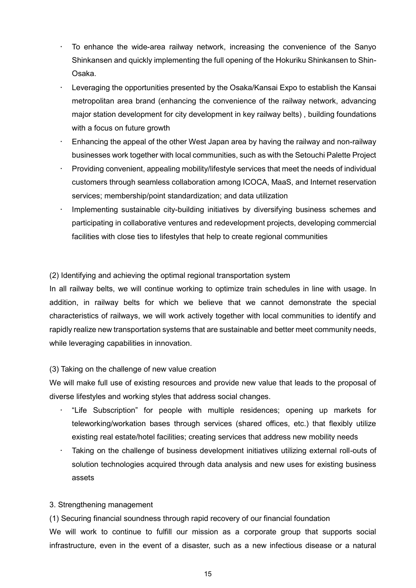- To enhance the wide-area railway network, increasing the convenience of the Sanyo Shinkansen and quickly implementing the full opening of the Hokuriku Shinkansen to Shin-Osaka.
- Leveraging the opportunities presented by the Osaka/Kansai Expo to establish the Kansai metropolitan area brand (enhancing the convenience of the railway network, advancing major station development for city development in key railway belts) , building foundations with a focus on future growth
- Enhancing the appeal of the other West Japan area by having the railway and non-railway businesses work together with local communities, such as with the Setouchi Palette Project
- Providing convenient, appealing mobility/lifestyle services that meet the needs of individual customers through seamless collaboration among ICOCA, MaaS, and Internet reservation services; membership/point standardization; and data utilization
- Implementing sustainable city-building initiatives by diversifying business schemes and participating in collaborative ventures and redevelopment projects, developing commercial facilities with close ties to lifestyles that help to create regional communities

(2) Identifying and achieving the optimal regional transportation system

In all railway belts, we will continue working to optimize train schedules in line with usage. In addition, in railway belts for which we believe that we cannot demonstrate the special characteristics of railways, we will work actively together with local communities to identify and rapidly realize new transportation systems that are sustainable and better meet community needs, while leveraging capabilities in innovation.

### (3) Taking on the challenge of new value creation

We will make full use of existing resources and provide new value that leads to the proposal of diverse lifestyles and working styles that address social changes.

- "Life Subscription" for people with multiple residences; opening up markets for teleworking/workation bases through services (shared offices, etc.) that flexibly utilize existing real estate/hotel facilities; creating services that address new mobility needs
- Taking on the challenge of business development initiatives utilizing external roll-outs of solution technologies acquired through data analysis and new uses for existing business assets

### 3. Strengthening management

(1) Securing financial soundness through rapid recovery of our financial foundation

We will work to continue to fulfill our mission as a corporate group that supports social infrastructure, even in the event of a disaster, such as a new infectious disease or a natural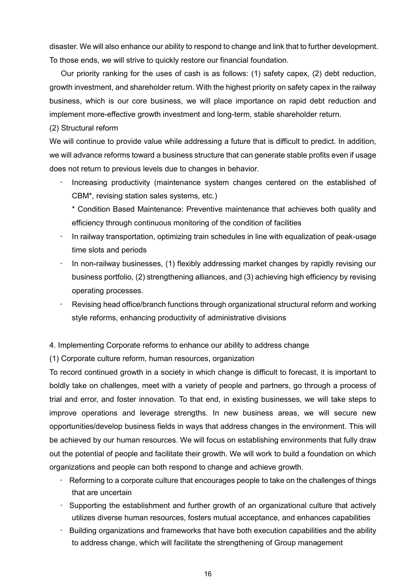disaster. We will also enhance our ability to respond to change and link that to further development. To those ends, we will strive to quickly restore our financial foundation.

Our priority ranking for the uses of cash is as follows: (1) safety capex, (2) debt reduction, growth investment, and shareholder return. With the highest priority on safety capex in the railway business, which is our core business, we will place importance on rapid debt reduction and implement more-effective growth investment and long-term, stable shareholder return.

(2) Structural reform

We will continue to provide value while addressing a future that is difficult to predict. In addition, we will advance reforms toward a business structure that can generate stable profits even if usage does not return to previous levels due to changes in behavior.

• Increasing productivity (maintenance system changes centered on the established of CBM\*, revising station sales systems, etc.)

\* Condition Based Maintenance: Preventive maintenance that achieves both quality and efficiency through continuous monitoring of the condition of facilities

- In railway transportation, optimizing train schedules in line with equalization of peak-usage time slots and periods
- In non-railway businesses, (1) flexibly addressing market changes by rapidly revising our business portfolio, (2) strengthening alliances, and (3) achieving high efficiency by revising operating processes.
- Revising head office/branch functions through organizational structural reform and working style reforms, enhancing productivity of administrative divisions

4. Implementing Corporate reforms to enhance our ability to address change

(1) Corporate culture reform, human resources, organization

To record continued growth in a society in which change is difficult to forecast, it is important to boldly take on challenges, meet with a variety of people and partners, go through a process of trial and error, and foster innovation. To that end, in existing businesses, we will take steps to improve operations and leverage strengths. In new business areas, we will secure new opportunities/develop business fields in ways that address changes in the environment. This will be achieved by our human resources. We will focus on establishing environments that fully draw out the potential of people and facilitate their growth. We will work to build a foundation on which organizations and people can both respond to change and achieve growth.

- Reforming to a corporate culture that encourages people to take on the challenges of things that are uncertain
- Supporting the establishment and further growth of an organizational culture that actively utilizes diverse human resources, fosters mutual acceptance, and enhances capabilities
- Building organizations and frameworks that have both execution capabilities and the ability to address change, which will facilitate the strengthening of Group management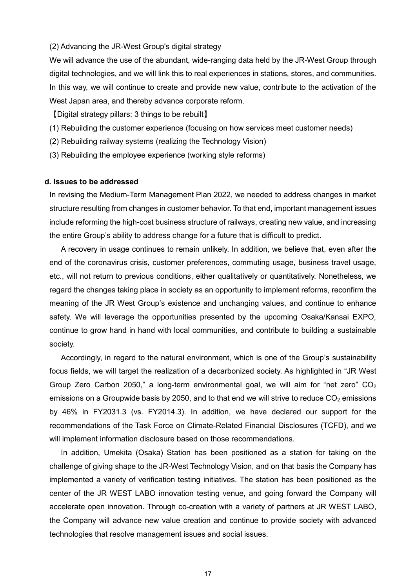#### (2) Advancing the JR-West Group's digital strategy

We will advance the use of the abundant, wide-ranging data held by the JR-West Group through digital technologies, and we will link this to real experiences in stations, stores, and communities. In this way, we will continue to create and provide new value, contribute to the activation of the West Japan area, and thereby advance corporate reform.

【Digital strategy pillars: 3 things to be rebuilt】

- (1) Rebuilding the customer experience (focusing on how services meet customer needs)
- (2) Rebuilding railway systems (realizing the Technology Vision)
- (3) Rebuilding the employee experience (working style reforms)

### **d. Issues to be addressed**

In revising the Medium-Term Management Plan 2022, we needed to address changes in market structure resulting from changes in customer behavior. To that end, important management issues include reforming the high-cost business structure of railways, creating new value, and increasing the entire Group's ability to address change for a future that is difficult to predict.

A recovery in usage continues to remain unlikely. In addition, we believe that, even after the end of the coronavirus crisis, customer preferences, commuting usage, business travel usage, etc., will not return to previous conditions, either qualitatively or quantitatively. Nonetheless, we regard the changes taking place in society as an opportunity to implement reforms, reconfirm the meaning of the JR West Group's existence and unchanging values, and continue to enhance safety. We will leverage the opportunities presented by the upcoming Osaka/Kansai EXPO, continue to grow hand in hand with local communities, and contribute to building a sustainable society.

Accordingly, in regard to the natural environment, which is one of the Group's sustainability focus fields, we will target the realization of a decarbonized society. As highlighted in "JR West Group Zero Carbon 2050," a long-term environmental goal, we will aim for "net zero"  $CO<sub>2</sub>$ emissions on a Groupwide basis by 2050, and to that end we will strive to reduce  $CO<sub>2</sub>$  emissions by 46% in FY2031.3 (vs. FY2014.3). In addition, we have declared our support for the recommendations of the Task Force on Climate-Related Financial Disclosures (TCFD), and we will implement information disclosure based on those recommendations.

In addition, Umekita (Osaka) Station has been positioned as a station for taking on the challenge of giving shape to the JR-West Technology Vision, and on that basis the Company has implemented a variety of verification testing initiatives. The station has been positioned as the center of the JR WEST LABO innovation testing venue, and going forward the Company will accelerate open innovation. Through co-creation with a variety of partners at JR WEST LABO, the Company will advance new value creation and continue to provide society with advanced technologies that resolve management issues and social issues.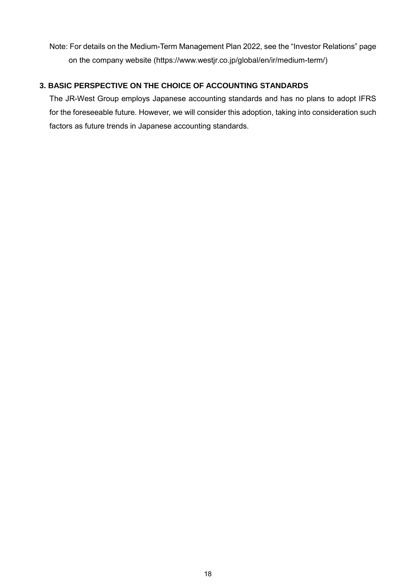Note: For details on the Medium-Term Management Plan 2022, see the "Investor Relations" page on the company website (https://www.westjr.co.jp/global/en/ir/medium-term/)

# **3. BASIC PERSPECTIVE ON THE CHOICE OF ACCOUNTING STANDARDS**

The JR-West Group employs Japanese accounting standards and has no plans to adopt IFRS for the foreseeable future. However, we will consider this adoption, taking into consideration such factors as future trends in Japanese accounting standards.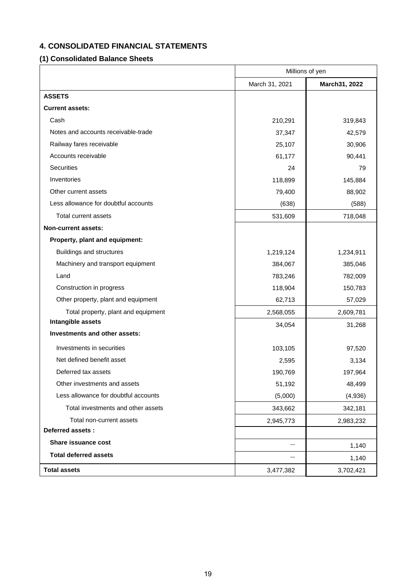# **4. CONSOLIDATED FINANCIAL STATEMENTS**

# **(1) Consolidated Balance Sheets**

|                                      | Millions of yen |               |  |
|--------------------------------------|-----------------|---------------|--|
|                                      | March 31, 2021  | March31, 2022 |  |
| <b>ASSETS</b>                        |                 |               |  |
| <b>Current assets:</b>               |                 |               |  |
| Cash                                 | 210,291         | 319,843       |  |
| Notes and accounts receivable-trade  | 37,347          | 42,579        |  |
| Railway fares receivable             | 25,107          | 30,906        |  |
| Accounts receivable                  | 61,177          | 90,441        |  |
| <b>Securities</b>                    | 24              | 79            |  |
| Inventories                          | 118,899         | 145,884       |  |
| Other current assets                 | 79,400          | 88,902        |  |
| Less allowance for doubtful accounts | (638)           | (588)         |  |
| Total current assets                 | 531,609         | 718,048       |  |
| <b>Non-current assets:</b>           |                 |               |  |
| Property, plant and equipment:       |                 |               |  |
| Buildings and structures             | 1,219,124       | 1,234,911     |  |
| Machinery and transport equipment    | 384,067         | 385,046       |  |
| Land                                 | 783,246         | 782,009       |  |
| Construction in progress             | 118,904         | 150,783       |  |
| Other property, plant and equipment  | 62,713          | 57,029        |  |
| Total property, plant and equipment  | 2,568,055       | 2,609,781     |  |
| Intangible assets                    | 34,054          | 31,268        |  |
| Investments and other assets:        |                 |               |  |
| Investments in securities            | 103,105         | 97,520        |  |
| Net defined benefit asset            | 2,595           | 3,134         |  |
| Deferred tax assets                  | 190,769         | 197,964       |  |
| Other investments and assets         | 51,192          | 48,499        |  |
| Less allowance for doubtful accounts | (5,000)         | (4,936)       |  |
| Total investments and other assets   | 343,662         | 342,181       |  |
| Total non-current assets             | 2,945,773       | 2,983,232     |  |
| Deferred assets :                    |                 |               |  |
| Share issuance cost                  |                 | 1,140         |  |
| <b>Total deferred assets</b>         |                 | 1,140         |  |
| <b>Total assets</b>                  | 3,477,382       | 3,702,421     |  |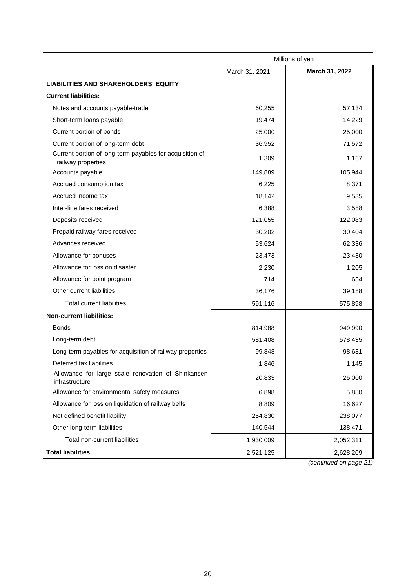|                                                                                | Millions of yen |                |  |
|--------------------------------------------------------------------------------|-----------------|----------------|--|
|                                                                                | March 31, 2021  | March 31, 2022 |  |
| <b>LIABILITIES AND SHAREHOLDERS' EQUITY</b>                                    |                 |                |  |
| <b>Current liabilities:</b>                                                    |                 |                |  |
| Notes and accounts payable-trade                                               | 60,255          | 57,134         |  |
| Short-term loans payable                                                       | 19,474          | 14,229         |  |
| Current portion of bonds                                                       | 25,000          | 25,000         |  |
| Current portion of long-term debt                                              | 36,952          | 71,572         |  |
| Current portion of long-term payables for acquisition of<br>railway properties | 1,309           | 1,167          |  |
| Accounts payable                                                               | 149,889         | 105,944        |  |
| Accrued consumption tax                                                        | 6,225           | 8,371          |  |
| Accrued income tax                                                             | 18,142          | 9,535          |  |
| Inter-line fares received                                                      | 6,388           | 3,588          |  |
| Deposits received                                                              | 121,055         | 122,083        |  |
| Prepaid railway fares received                                                 | 30,202          | 30,404         |  |
| Advances received                                                              | 53,624          | 62,336         |  |
| Allowance for bonuses                                                          | 23,473          | 23,480         |  |
| Allowance for loss on disaster                                                 | 2,230           | 1,205          |  |
| Allowance for point program                                                    | 714             | 654            |  |
| Other current liabilities                                                      | 36,176          | 39,188         |  |
| <b>Total current liabilities</b>                                               | 591,116         | 575,898        |  |
| <b>Non-current liabilities:</b>                                                |                 |                |  |
| <b>Bonds</b>                                                                   | 814,988         | 949,990        |  |
| Long-term debt                                                                 | 581,408         | 578,435        |  |
| Long-term payables for acquisition of railway properties                       | 99,848          | 98,681         |  |
| Deferred tax liabilities                                                       | 1,846           | 1,145          |  |
| Allowance for large scale renovation of Shinkansen<br>infrastructure           | 20,833          | 25,000         |  |
| Allowance for environmental safety measures                                    | 6,898           | 5,880          |  |
| Allowance for loss on liquidation of railway belts                             | 8,809           | 16,627         |  |
| Net defined benefit liability                                                  | 254,830         | 238,077        |  |
| Other long-term liabilities                                                    | 140,544         | 138,471        |  |
| Total non-current liabilities                                                  | 1,930,009       | 2,052,311      |  |
| <b>Total liabilities</b>                                                       | 2,521,125       | 2,628,209      |  |

*(continued on page 21)*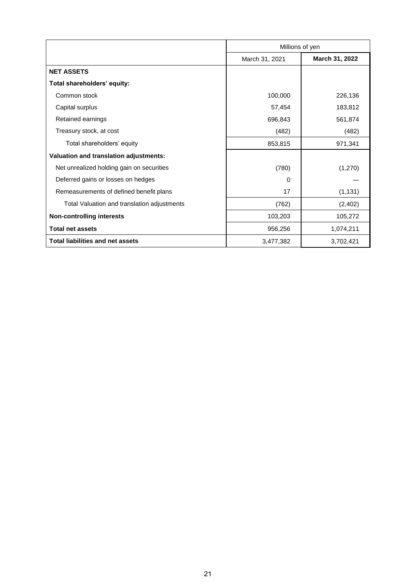|                                             | Millions of yen |                |  |
|---------------------------------------------|-----------------|----------------|--|
|                                             | March 31, 2021  | March 31, 2022 |  |
| <b>NET ASSETS</b>                           |                 |                |  |
| Total shareholders' equity:                 |                 |                |  |
| Common stock                                | 100,000         | 226,136        |  |
| Capital surplus                             | 57,454          | 183,812        |  |
| Retained earnings                           | 696,843         | 561,874        |  |
| Treasury stock, at cost                     | (482)           | (482)          |  |
| Total shareholders' equity                  | 853,815         | 971,341        |  |
| Valuation and translation adjustments:      |                 |                |  |
| Net unrealized holding gain on securities   | (780)           | (1,270)        |  |
| Deferred gains or losses on hedges          | 0               |                |  |
| Remeasurements of defined benefit plans     | 17              | (1, 131)       |  |
| Total Valuation and translation adjustments | (762)           | (2,402)        |  |
| <b>Non-controlling interests</b>            | 103,203         | 105,272        |  |
| <b>Total net assets</b>                     | 956,256         | 1,074,211      |  |
| <b>Total liabilities and net assets</b>     | 3,477,382       | 3,702,421      |  |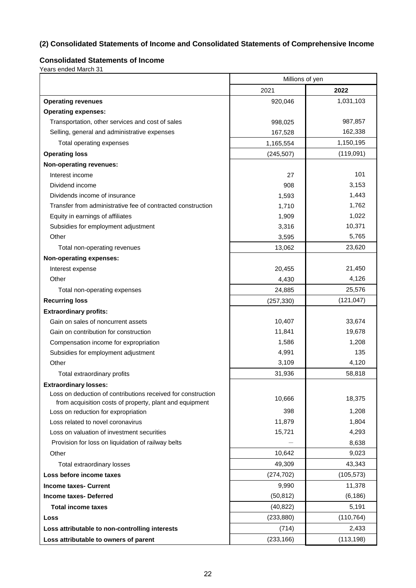# **(2) Consolidated Statements of Income and Consolidated Statements of Comprehensive Income**

# **Consolidated Statements of Income**

Years ended March 31

|                                                                                                                         | Millions of yen |            |  |
|-------------------------------------------------------------------------------------------------------------------------|-----------------|------------|--|
|                                                                                                                         | 2021            | 2022       |  |
| <b>Operating revenues</b>                                                                                               | 920,046         | 1,031,103  |  |
| <b>Operating expenses:</b>                                                                                              |                 |            |  |
| Transportation, other services and cost of sales                                                                        | 998,025         | 987,857    |  |
| Selling, general and administrative expenses                                                                            | 167,528         | 162,338    |  |
| Total operating expenses                                                                                                | 1,165,554       | 1,150,195  |  |
| <b>Operating loss</b>                                                                                                   | (245, 507)      | (119,091)  |  |
| Non-operating revenues:                                                                                                 |                 |            |  |
| Interest income                                                                                                         | 27              | 101        |  |
| Dividend income                                                                                                         | 908             | 3,153      |  |
| Dividends income of insurance                                                                                           | 1,593           | 1,443      |  |
| Transfer from administrative fee of contracted construction                                                             | 1,710           | 1,762      |  |
| Equity in earnings of affiliates                                                                                        | 1,909           | 1,022      |  |
| Subsidies for employment adjustment                                                                                     | 3,316           | 10,371     |  |
| Other                                                                                                                   | 3,595           | 5,765      |  |
| Total non-operating revenues                                                                                            | 13,062          | 23,620     |  |
| <b>Non-operating expenses:</b>                                                                                          |                 |            |  |
| Interest expense                                                                                                        | 20,455          | 21,450     |  |
| Other                                                                                                                   | 4,430           | 4,126      |  |
| Total non-operating expenses                                                                                            | 24,885          | 25,576     |  |
| <b>Recurring loss</b>                                                                                                   | (257, 330)      | (121, 047) |  |
| <b>Extraordinary profits:</b>                                                                                           |                 |            |  |
| Gain on sales of noncurrent assets                                                                                      | 10,407          | 33,674     |  |
| Gain on contribution for construction                                                                                   | 11,841          | 19,678     |  |
| Compensation income for expropriation                                                                                   | 1,586           | 1,208      |  |
| Subsidies for employment adjustment                                                                                     | 4,991           | 135        |  |
| Other                                                                                                                   | 3,109           | 4,120      |  |
| Total extraordinary profits                                                                                             | 31,936          | 58,818     |  |
| <b>Extraordinary losses:</b>                                                                                            |                 |            |  |
| Loss on deduction of contributions received for construction<br>from acquisition costs of property, plant and equipment | 10,666          | 18,375     |  |
| Loss on reduction for expropriation                                                                                     | 398             | 1,208      |  |
| Loss related to novel coronavirus                                                                                       | 11,879          | 1,804      |  |
| Loss on valuation of investment securities                                                                              | 15,721          | 4,293      |  |
| Provision for loss on liquidation of railway belts                                                                      |                 | 8,638      |  |
| Other                                                                                                                   | 10,642          | 9,023      |  |
| Total extraordinary losses                                                                                              | 49,309          | 43,343     |  |
| Loss before income taxes                                                                                                | (274, 702)      | (105, 573) |  |
| <b>Income taxes- Current</b>                                                                                            | 9,990           | 11,378     |  |
| Income taxes-Deferred                                                                                                   | (50, 812)       | (6, 186)   |  |
| <b>Total income taxes</b>                                                                                               | (40, 822)       | 5,191      |  |
| Loss                                                                                                                    | (233, 880)      | (110, 764) |  |
| Loss attributable to non-controlling interests                                                                          | (714)           | 2,433      |  |
| Loss attributable to owners of parent                                                                                   | (233, 166)      | (113, 198) |  |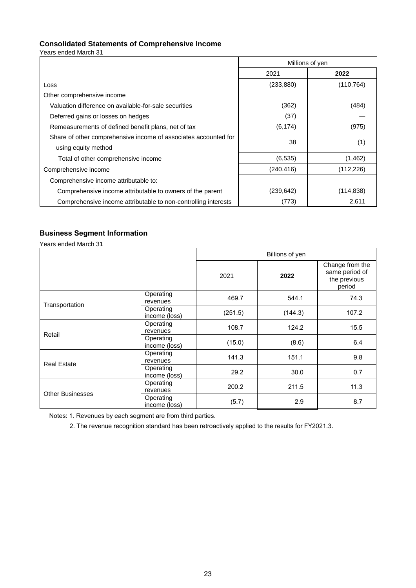### **Consolidated Statements of Comprehensive Income**

Years ended March 31

|                                                                 | Millions of yen |            |  |
|-----------------------------------------------------------------|-----------------|------------|--|
|                                                                 | 2021            | 2022       |  |
| Loss                                                            | (233, 880)      | (110, 764) |  |
| Other comprehensive income                                      |                 |            |  |
| Valuation difference on available-for-sale securities           | (362)           | (484)      |  |
| Deferred gains or losses on hedges                              | (37)            |            |  |
| Remeasurements of defined benefit plans, net of tax             | (6, 174)        | (975)      |  |
| Share of other comprehensive income of associates accounted for | 38              |            |  |
| using equity method                                             |                 | (1)        |  |
| Total of other comprehensive income                             | (6, 535)        | (1,462)    |  |
| Comprehensive income                                            | (240, 416)      | (112, 226) |  |
| Comprehensive income attributable to:                           |                 |            |  |
| Comprehensive income attributable to owners of the parent       | (239, 642)      | (114,838)  |  |
| Comprehensive income attributable to non-controlling interests  | (773)           | 2,611      |  |

# **Business Segment Information**

Years ended March 31

|                         |                            | Billions of yen |         |                                                             |  |  |
|-------------------------|----------------------------|-----------------|---------|-------------------------------------------------------------|--|--|
|                         |                            | 2021            | 2022    | Change from the<br>same period of<br>the previous<br>period |  |  |
| Transportation          | Operating<br>revenues      | 469.7           | 544.1   | 74.3                                                        |  |  |
|                         | Operating<br>income (loss) | (251.5)         | (144.3) | 107.2                                                       |  |  |
| Retail                  | Operating<br>revenues      | 108.7           | 124.2   | 15.5                                                        |  |  |
|                         | Operating<br>income (loss) | (15.0)          | (8.6)   | 6.4                                                         |  |  |
| <b>Real Estate</b>      | Operating<br>revenues      | 141.3           | 151.1   | 9.8                                                         |  |  |
|                         | Operating<br>income (loss) | 29.2            | 30.0    | 0.7                                                         |  |  |
| <b>Other Businesses</b> | Operating<br>revenues      | 200.2           | 211.5   | 11.3                                                        |  |  |
|                         | Operating<br>income (loss) | (5.7)           | 2.9     | 8.7                                                         |  |  |

Notes: 1. Revenues by each segment are from third parties.

2. The revenue recognition standard has been retroactively applied to the results for FY2021.3.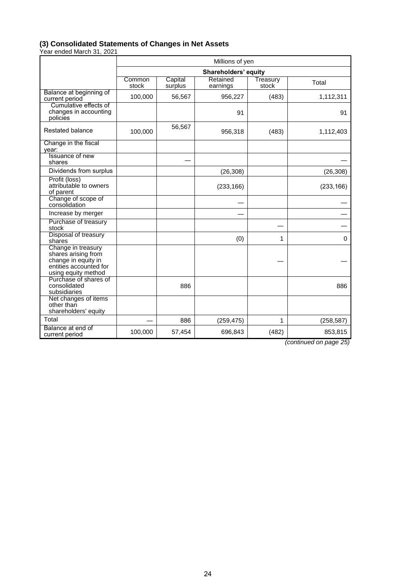#### **(3) Consolidated Statements of Changes in Net Assets**

Year ended March 31, 2021

|                                                                                                                   | Millions of yen      |                    |                      |                   |            |  |
|-------------------------------------------------------------------------------------------------------------------|----------------------|--------------------|----------------------|-------------------|------------|--|
|                                                                                                                   | Shareholders' equity |                    |                      |                   |            |  |
|                                                                                                                   | Common<br>stock      | Capital<br>surplus | Retained<br>earnings | Treasury<br>stock | Total      |  |
| Balance at beginning of<br>current period                                                                         | 100,000              | 56,567             | 956,227              | (483)             | 1,112,311  |  |
| Cumulative effects of<br>changes in accounting<br>policies                                                        |                      |                    | 91                   |                   | 91         |  |
| Restated balance                                                                                                  | 100,000              | 56,567             | 956,318              | (483)             | 1,112,403  |  |
| Change in the fiscal<br>year:                                                                                     |                      |                    |                      |                   |            |  |
| Issuance of new<br>shares                                                                                         |                      |                    |                      |                   |            |  |
| Dividends from surplus                                                                                            |                      |                    | (26, 308)            |                   | (26, 308)  |  |
| Profit (loss)<br>attributable to owners<br>of parent                                                              |                      |                    | (233, 166)           |                   | (233, 166) |  |
| Change of scope of<br>consolidation                                                                               |                      |                    |                      |                   |            |  |
| Increase by merger                                                                                                |                      |                    |                      |                   |            |  |
| Purchase of treasury<br>stock                                                                                     |                      |                    |                      |                   |            |  |
| Disposal of treasury<br>shares                                                                                    |                      |                    | (0)                  | 1                 | 0          |  |
| Change in treasury<br>shares arising from<br>change in equity in<br>entities accounted for<br>using equity method |                      |                    |                      |                   |            |  |
| Purchase of shares of<br>consolidated<br>subsidiaries                                                             |                      | 886                |                      |                   | 886        |  |
| Net changes of items<br>other than<br>shareholders' equity                                                        |                      |                    |                      |                   |            |  |
| Total                                                                                                             |                      | 886                | (259, 475)           | 1                 | (258, 587) |  |
| Balance at end of<br>current period                                                                               | 100,000              | 57,454             | 696,843              | (482)             | 853,815    |  |

*(continued on page 25)*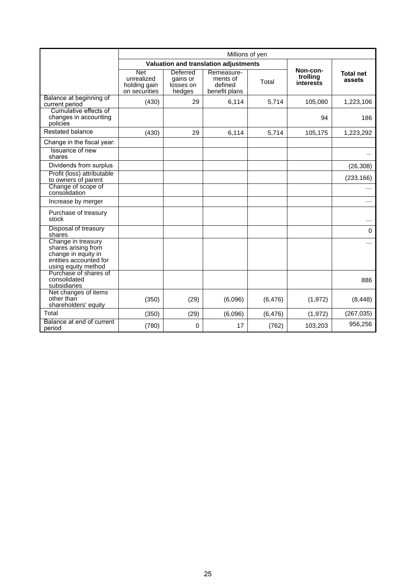|                                                                                                                   | Millions of yen                                           |                                             |                                                    |          |                                   |                            |
|-------------------------------------------------------------------------------------------------------------------|-----------------------------------------------------------|---------------------------------------------|----------------------------------------------------|----------|-----------------------------------|----------------------------|
|                                                                                                                   | Valuation and translation adjustments                     |                                             |                                                    |          |                                   |                            |
|                                                                                                                   | <b>Net</b><br>unrealized<br>holding gain<br>on securities | Deferred<br>gains or<br>losses on<br>hedges | Remeasure-<br>ments of<br>defined<br>benefit plans | Total    | Non-con-<br>trolling<br>interests | <b>Total net</b><br>assets |
| Balance at beginning of<br>current period                                                                         | (430)                                                     | 29                                          | 6.114                                              | 5.714    | 105.080                           | 1,223,106                  |
| Cumulative effects of<br>changes in accounting<br>policies                                                        |                                                           |                                             |                                                    |          | 94                                | 186                        |
| Restated balance                                                                                                  | (430)                                                     | 29                                          | 6.114                                              | 5,714    | 105,175                           | 1,223,292                  |
| Change in the fiscal year:                                                                                        |                                                           |                                             |                                                    |          |                                   |                            |
| Issuance of new<br>shares                                                                                         |                                                           |                                             |                                                    |          |                                   |                            |
| Dividends from surplus                                                                                            |                                                           |                                             |                                                    |          |                                   | (26, 308)                  |
| Profit (loss) attributable<br>to owners of parent                                                                 |                                                           |                                             |                                                    |          |                                   | (233, 166)                 |
| Change of scope of<br>consolidation                                                                               |                                                           |                                             |                                                    |          |                                   |                            |
| Increase by merger                                                                                                |                                                           |                                             |                                                    |          |                                   |                            |
| Purchase of treasury<br>stock                                                                                     |                                                           |                                             |                                                    |          |                                   |                            |
| Disposal of treasury<br>shares                                                                                    |                                                           |                                             |                                                    |          |                                   | $\Omega$                   |
| Change in treasury<br>shares arising from<br>change in equity in<br>entities accounted for<br>using equity method |                                                           |                                             |                                                    |          |                                   |                            |
| Purchase of shares of<br>consolidated<br>subsidiaries                                                             |                                                           |                                             |                                                    |          |                                   | 886                        |
| Net changes of items<br>other than<br>shareholders' equity                                                        | (350)                                                     | (29)                                        | (6,096)                                            | (6, 476) | (1, 972)                          | (8, 448)                   |
| Total                                                                                                             | (350)                                                     | (29)                                        | (6,096)                                            | (6, 476) | (1, 972)                          | (267, 035)                 |
| Balance at end of current<br>period                                                                               | (780)                                                     | 0                                           | 17                                                 | (762)    | 103,203                           | 956,256                    |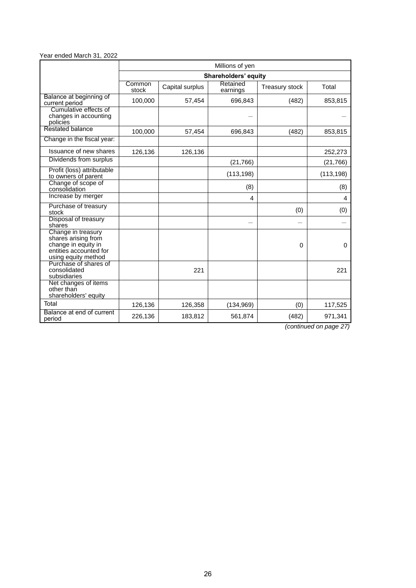#### Year ended March 31, 2022

|                                                                                                                   | Millions of yen |                 |                      |                       |            |  |  |
|-------------------------------------------------------------------------------------------------------------------|-----------------|-----------------|----------------------|-----------------------|------------|--|--|
|                                                                                                                   |                 |                 | Shareholders' equity |                       |            |  |  |
|                                                                                                                   | Common<br>stock | Capital surplus | Retained<br>earnings | <b>Treasury stock</b> | Total      |  |  |
| Balance at beginning of<br>current period                                                                         | 100,000         | 57,454          | 696,843              | (482)                 | 853,815    |  |  |
| Cumulative effects of<br>changes in accounting<br>policies                                                        |                 |                 |                      |                       |            |  |  |
| Restated balance                                                                                                  | 100,000         | 57,454          | 696,843              | (482)                 | 853,815    |  |  |
| Change in the fiscal year:                                                                                        |                 |                 |                      |                       |            |  |  |
| Issuance of new shares                                                                                            | 126,136         | 126,136         |                      |                       | 252,273    |  |  |
| Dividends from surplus                                                                                            |                 |                 | (21, 766)            |                       | (21, 766)  |  |  |
| Profit (loss) attributable<br>to owners of parent                                                                 |                 |                 | (113, 198)           |                       | (113, 198) |  |  |
| Change of scope of<br>consolidation                                                                               |                 |                 | (8)                  |                       | (8)        |  |  |
| Increase by merger                                                                                                |                 |                 | 4                    |                       | 4          |  |  |
| Purchase of treasury<br>stock                                                                                     |                 |                 |                      | (0)                   | (0)        |  |  |
| Disposal of treasury<br>shares                                                                                    |                 |                 |                      |                       |            |  |  |
| Change in treasury<br>shares arising from<br>change in equity in<br>entities accounted for<br>using equity method |                 |                 |                      | 0                     | $\Omega$   |  |  |
| Purchase of shares of<br>consolidated<br>subsidiaries                                                             |                 | 221             |                      |                       | 221        |  |  |
| Net changes of items<br>other than<br>shareholders' equity                                                        |                 |                 |                      |                       |            |  |  |
| Total                                                                                                             | 126,136         | 126,358         | (134, 969)           | (0)                   | 117,525    |  |  |
| Balance at end of current<br>period                                                                               | 226,136         | 183,812         | 561,874              | (482)                 | 971,341    |  |  |

*(continued on page 27)*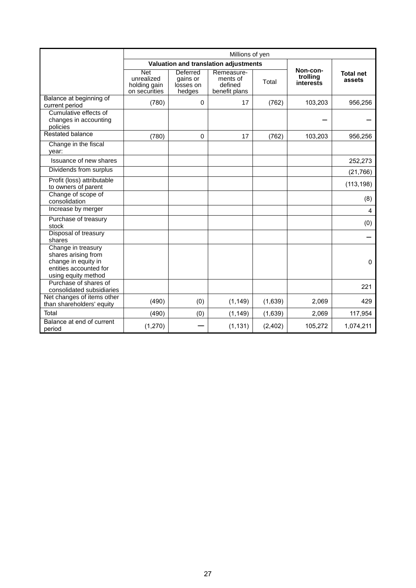|                                                                                                                   | Millions of yen                                           |                                             |                                                    |          |                                   |                            |
|-------------------------------------------------------------------------------------------------------------------|-----------------------------------------------------------|---------------------------------------------|----------------------------------------------------|----------|-----------------------------------|----------------------------|
|                                                                                                                   |                                                           | Valuation and translation adjustments       |                                                    |          |                                   |                            |
|                                                                                                                   | <b>Net</b><br>unrealized<br>holding gain<br>on securities | Deferred<br>gains or<br>losses on<br>hedges | Remeasure-<br>ments of<br>defined<br>benefit plans | Total    | Non-con-<br>trolling<br>interests | <b>Total net</b><br>assets |
| Balance at beginning of<br>current period                                                                         | (780)                                                     | $\Omega$                                    | 17                                                 | (762)    | 103,203                           | 956,256                    |
| Cumulative effects of<br>changes in accounting<br>policies                                                        |                                                           |                                             |                                                    |          |                                   |                            |
| <b>Restated balance</b>                                                                                           | (780)                                                     | 0                                           | 17                                                 | (762)    | 103,203                           | 956,256                    |
| Change in the fiscal<br>year:                                                                                     |                                                           |                                             |                                                    |          |                                   |                            |
| Issuance of new shares                                                                                            |                                                           |                                             |                                                    |          |                                   | 252,273                    |
| Dividends from surplus                                                                                            |                                                           |                                             |                                                    |          |                                   | (21, 766)                  |
| Profit (loss) attributable<br>to owners of parent                                                                 |                                                           |                                             |                                                    |          |                                   | (113, 198)                 |
| Change of scope of<br>consolidation                                                                               |                                                           |                                             |                                                    |          |                                   | (8)                        |
| Increase by merger                                                                                                |                                                           |                                             |                                                    |          |                                   | 4                          |
| Purchase of treasury<br>stock                                                                                     |                                                           |                                             |                                                    |          |                                   | (0)                        |
| Disposal of treasury<br>shares                                                                                    |                                                           |                                             |                                                    |          |                                   |                            |
| Change in treasury<br>shares arising from<br>change in equity in<br>entities accounted for<br>using equity method |                                                           |                                             |                                                    |          |                                   | 0                          |
| Purchase of shares of<br>consolidated subsidiaries                                                                |                                                           |                                             |                                                    |          |                                   | 221                        |
| Net changes of items other<br>than shareholders' equity                                                           | (490)                                                     | (0)                                         | (1, 149)                                           | (1,639)  | 2,069                             | 429                        |
| Total                                                                                                             | (490)                                                     | (0)                                         | (1, 149)                                           | (1,639)  | 2,069                             | 117,954                    |
| Balance at end of current<br>period                                                                               | (1,270)                                                   |                                             | (1, 131)                                           | (2, 402) | 105,272                           | 1,074,211                  |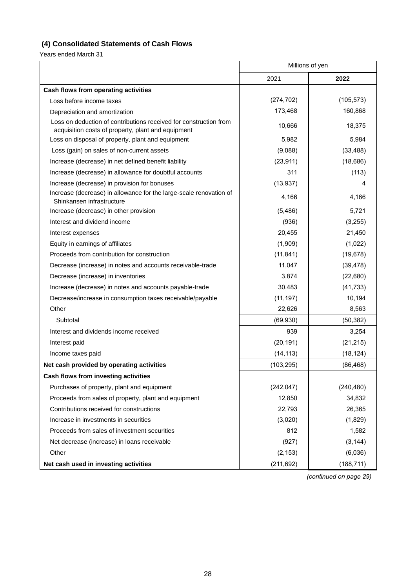# **(4) Consolidated Statements of Cash Flows**

Years ended March 31

|                                                                                                                         | Millions of yen |            |  |
|-------------------------------------------------------------------------------------------------------------------------|-----------------|------------|--|
|                                                                                                                         | 2021            | 2022       |  |
| Cash flows from operating activities                                                                                    |                 |            |  |
| Loss before income taxes                                                                                                | (274, 702)      | (105, 573) |  |
| Depreciation and amortization                                                                                           | 173,468         | 160,868    |  |
| Loss on deduction of contributions received for construction from<br>acquisition costs of property, plant and equipment | 10,666          | 18,375     |  |
| Loss on disposal of property, plant and equipment                                                                       | 5,982           | 5,984      |  |
| Loss (gain) on sales of non-current assets                                                                              | (9,088)         | (33, 488)  |  |
| Increase (decrease) in net defined benefit liability                                                                    | (23, 911)       | (18, 686)  |  |
| Increase (decrease) in allowance for doubtful accounts                                                                  | 311             | (113)      |  |
| Increase (decrease) in provision for bonuses                                                                            | (13, 937)       | 4          |  |
| Increase (decrease) in allowance for the large-scale renovation of<br>Shinkansen infrastructure                         | 4,166           | 4,166      |  |
| Increase (decrease) in other provision                                                                                  | (5, 486)        | 5,721      |  |
| Interest and dividend income                                                                                            | (936)           | (3,255)    |  |
| Interest expenses                                                                                                       | 20,455          | 21,450     |  |
| Equity in earnings of affiliates                                                                                        | (1,909)         | (1,022)    |  |
| Proceeds from contribution for construction                                                                             | (11, 841)       | (19, 678)  |  |
| Decrease (increase) in notes and accounts receivable-trade                                                              | 11,047          | (39, 478)  |  |
| Decrease (increase) in inventories                                                                                      | 3,874           | (22, 680)  |  |
| Increase (decrease) in notes and accounts payable-trade                                                                 | 30,483          | (41, 733)  |  |
| Decrease/increase in consumption taxes receivable/payable                                                               | (11, 197)       | 10,194     |  |
| Other                                                                                                                   | 22,626          | 8,563      |  |
| Subtotal                                                                                                                | (69, 930)       | (50, 382)  |  |
| Interest and dividends income received                                                                                  | 939             | 3,254      |  |
| Interest paid                                                                                                           | (20, 191)       | (21, 215)  |  |
| Income taxes paid                                                                                                       | (14, 113)       | (18, 124)  |  |
| Net cash provided by operating activities                                                                               | (103, 295)      | (86, 468)  |  |
| Cash flows from investing activities                                                                                    |                 |            |  |
| Purchases of property, plant and equipment                                                                              | (242, 047)      | (240, 480) |  |
| Proceeds from sales of property, plant and equipment                                                                    | 12,850          | 34,832     |  |
| Contributions received for constructions                                                                                | 22,793          | 26,365     |  |
| Increase in investments in securities                                                                                   | (3,020)         | (1,829)    |  |
| Proceeds from sales of investment securities                                                                            | 812             | 1,582      |  |
| Net decrease (increase) in loans receivable                                                                             | (927)           | (3, 144)   |  |
| Other                                                                                                                   | (2, 153)        | (6,036)    |  |
| Net cash used in investing activities                                                                                   | (211, 692)      | (188, 711) |  |

*(continued on page 29)*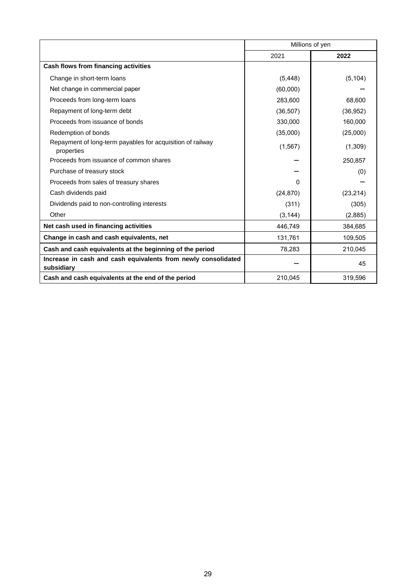|                                                                             | Millions of yen |           |  |
|-----------------------------------------------------------------------------|-----------------|-----------|--|
|                                                                             | 2021            | 2022      |  |
| Cash flows from financing activities                                        |                 |           |  |
| Change in short-term loans                                                  | (5, 448)        | (5, 104)  |  |
| Net change in commercial paper                                              | (60,000)        |           |  |
| Proceeds from long-term loans                                               | 283,600         | 68,600    |  |
| Repayment of long-term debt                                                 | (36, 507)       | (36, 952) |  |
| Proceeds from issuance of bonds                                             | 330,000         | 160,000   |  |
| Redemption of bonds                                                         | (35,000)        | (25,000)  |  |
| Repayment of long-term payables for acquisition of railway<br>properties    | (1, 567)        | (1,309)   |  |
| Proceeds from issuance of common shares                                     |                 | 250,857   |  |
| Purchase of treasury stock                                                  |                 | (0)       |  |
| Proceeds from sales of treasury shares                                      | 0               |           |  |
| Cash dividends paid                                                         | (24, 870)       | (23, 214) |  |
| Dividends paid to non-controlling interests                                 | (311)           | (305)     |  |
| Other                                                                       | (3, 144)        | (2,885)   |  |
| Net cash used in financing activities                                       | 446,749         | 384,685   |  |
| Change in cash and cash equivalents, net                                    | 131,761         | 109,505   |  |
| Cash and cash equivalents at the beginning of the period                    | 78,283          | 210,045   |  |
| Increase in cash and cash equivalents from newly consolidated<br>subsidiary |                 | 45        |  |
| Cash and cash equivalents at the end of the period                          | 210,045         | 319,596   |  |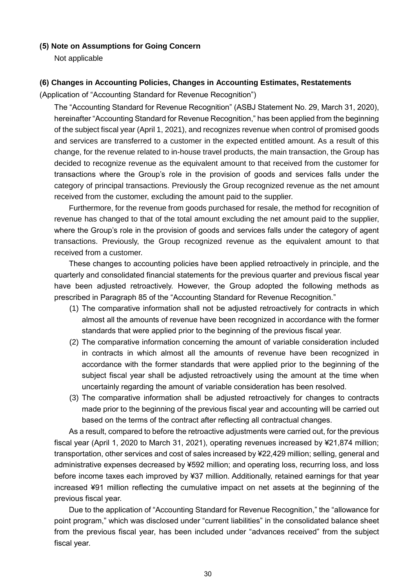### **(5) Note on Assumptions for Going Concern**

Not applicable

## **(6) Changes in Accounting Policies, Changes in Accounting Estimates, Restatements**

(Application of "Accounting Standard for Revenue Recognition")

The "Accounting Standard for Revenue Recognition" (ASBJ Statement No. 29, March 31, 2020), hereinafter "Accounting Standard for Revenue Recognition," has been applied from the beginning of the subject fiscal year (April 1, 2021), and recognizes revenue when control of promised goods and services are transferred to a customer in the expected entitled amount. As a result of this change, for the revenue related to in-house travel products, the main transaction, the Group has decided to recognize revenue as the equivalent amount to that received from the customer for transactions where the Group's role in the provision of goods and services falls under the category of principal transactions. Previously the Group recognized revenue as the net amount received from the customer, excluding the amount paid to the supplier.

Furthermore, for the revenue from goods purchased for resale, the method for recognition of revenue has changed to that of the total amount excluding the net amount paid to the supplier, where the Group's role in the provision of goods and services falls under the category of agent transactions. Previously, the Group recognized revenue as the equivalent amount to that received from a customer.

These changes to accounting policies have been applied retroactively in principle, and the quarterly and consolidated financial statements for the previous quarter and previous fiscal year have been adjusted retroactively. However, the Group adopted the following methods as prescribed in Paragraph 85 of the "Accounting Standard for Revenue Recognition."

- (1) The comparative information shall not be adjusted retroactively for contracts in which almost all the amounts of revenue have been recognized in accordance with the former standards that were applied prior to the beginning of the previous fiscal year.
- (2) The comparative information concerning the amount of variable consideration included in contracts in which almost all the amounts of revenue have been recognized in accordance with the former standards that were applied prior to the beginning of the subject fiscal year shall be adjusted retroactively using the amount at the time when uncertainly regarding the amount of variable consideration has been resolved.
- (3) The comparative information shall be adjusted retroactively for changes to contracts made prior to the beginning of the previous fiscal year and accounting will be carried out based on the terms of the contract after reflecting all contractual changes.

As a result, compared to before the retroactive adjustments were carried out, for the previous fiscal year (April 1, 2020 to March 31, 2021), operating revenues increased by ¥21,874 million; transportation, other services and cost of sales increased by ¥22,429 million; selling, general and administrative expenses decreased by ¥592 million; and operating loss, recurring loss, and loss before income taxes each improved by ¥37 million. Additionally, retained earnings for that year increased ¥91 million reflecting the cumulative impact on net assets at the beginning of the previous fiscal year.

Due to the application of "Accounting Standard for Revenue Recognition," the "allowance for point program," which was disclosed under "current liabilities" in the consolidated balance sheet from the previous fiscal year, has been included under "advances received" from the subject fiscal year.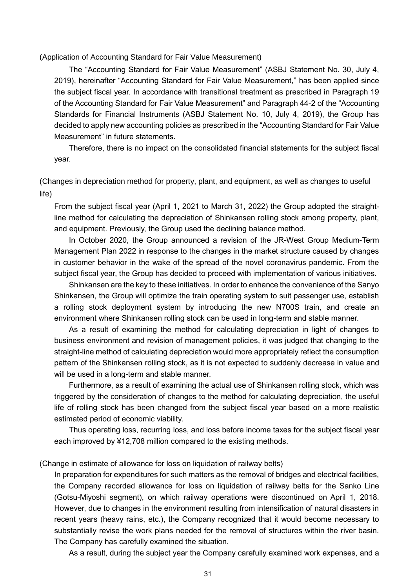(Application of Accounting Standard for Fair Value Measurement)

The "Accounting Standard for Fair Value Measurement" (ASBJ Statement No. 30, July 4, 2019), hereinafter "Accounting Standard for Fair Value Measurement," has been applied since the subject fiscal year. In accordance with transitional treatment as prescribed in Paragraph 19 of the Accounting Standard for Fair Value Measurement" and Paragraph 44-2 of the "Accounting Standards for Financial Instruments (ASBJ Statement No. 10, July 4, 2019), the Group has decided to apply new accounting policies as prescribed in the "Accounting Standard for Fair Value Measurement" in future statements.

Therefore, there is no impact on the consolidated financial statements for the subject fiscal year.

(Changes in depreciation method for property, plant, and equipment, as well as changes to useful life)

From the subject fiscal year (April 1, 2021 to March 31, 2022) the Group adopted the straightline method for calculating the depreciation of Shinkansen rolling stock among property, plant, and equipment. Previously, the Group used the declining balance method.

In October 2020, the Group announced a revision of the JR-West Group Medium-Term Management Plan 2022 in response to the changes in the market structure caused by changes in customer behavior in the wake of the spread of the novel coronavirus pandemic. From the subject fiscal year, the Group has decided to proceed with implementation of various initiatives.

Shinkansen are the key to these initiatives. In order to enhance the convenience of the Sanyo Shinkansen, the Group will optimize the train operating system to suit passenger use, establish a rolling stock deployment system by introducing the new N700S train, and create an environment where Shinkansen rolling stock can be used in long-term and stable manner.

As a result of examining the method for calculating depreciation in light of changes to business environment and revision of management policies, it was judged that changing to the straight-line method of calculating depreciation would more appropriately reflect the consumption pattern of the Shinkansen rolling stock, as it is not expected to suddenly decrease in value and will be used in a long-term and stable manner.

Furthermore, as a result of examining the actual use of Shinkansen rolling stock, which was triggered by the consideration of changes to the method for calculating depreciation, the useful life of rolling stock has been changed from the subject fiscal year based on a more realistic estimated period of economic viability.

Thus operating loss, recurring loss, and loss before income taxes for the subject fiscal year each improved by ¥12,708 million compared to the existing methods.

(Change in estimate of allowance for loss on liquidation of railway belts)

In preparation for expenditures for such matters as the removal of bridges and electrical facilities, the Company recorded allowance for loss on liquidation of railway belts for the Sanko Line (Gotsu-Miyoshi segment), on which railway operations were discontinued on April 1, 2018. However, due to changes in the environment resulting from intensification of natural disasters in recent years (heavy rains, etc.), the Company recognized that it would become necessary to substantially revise the work plans needed for the removal of structures within the river basin. The Company has carefully examined the situation.

As a result, during the subject year the Company carefully examined work expenses, and a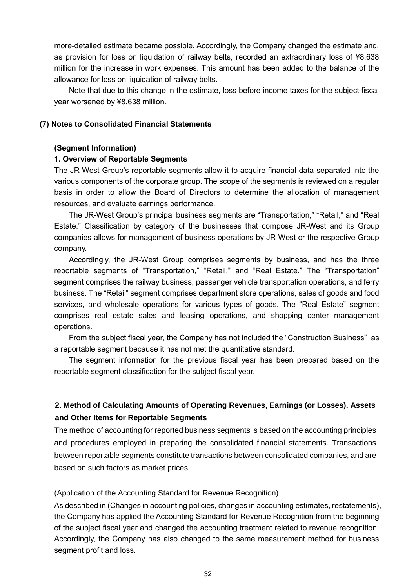more-detailed estimate became possible. Accordingly, the Company changed the estimate and, as provision for loss on liquidation of railway belts, recorded an extraordinary loss of ¥8,638 million for the increase in work expenses. This amount has been added to the balance of the allowance for loss on liquidation of railway belts.

Note that due to this change in the estimate, loss before income taxes for the subject fiscal year worsened by ¥8,638 million.

### **(7) Notes to Consolidated Financial Statements**

### **(Segment Information)**

### **1. Overview of Reportable Segments**

The JR-West Group's reportable segments allow it to acquire financial data separated into the various components of the corporate group. The scope of the segments is reviewed on a regular basis in order to allow the Board of Directors to determine the allocation of management resources, and evaluate earnings performance.

The JR-West Group's principal business segments are "Transportation," "Retail," and "Real Estate." Classification by category of the businesses that compose JR-West and its Group companies allows for management of business operations by JR-West or the respective Group company.

Accordingly, the JR-West Group comprises segments by business, and has the three reportable segments of "Transportation," "Retail," and "Real Estate." The "Transportation" segment comprises the railway business, passenger vehicle transportation operations, and ferry business. The "Retail" segment comprises department store operations, sales of goods and food services, and wholesale operations for various types of goods. The "Real Estate" segment comprises real estate sales and leasing operations, and shopping center management operations.

From the subject fiscal year, the Company has not included the "Construction Business" as a reportable segment because it has not met the quantitative standard.

The segment information for the previous fiscal year has been prepared based on the reportable segment classification for the subject fiscal year.

# **2. Method of Calculating Amounts of Operating Revenues, Earnings (or Losses), Assets and Other Items for Reportable Segments**

The method of accounting for reported business segments is based on the accounting principles and procedures employed in preparing the consolidated financial statements. Transactions between reportable segments constitute transactions between consolidated companies, and are based on such factors as market prices.

### (Application of the Accounting Standard for Revenue Recognition)

As described in (Changes in accounting policies, changes in accounting estimates, restatements), the Company has applied the Accounting Standard for Revenue Recognition from the beginning of the subject fiscal year and changed the accounting treatment related to revenue recognition. Accordingly, the Company has also changed to the same measurement method for business segment profit and loss.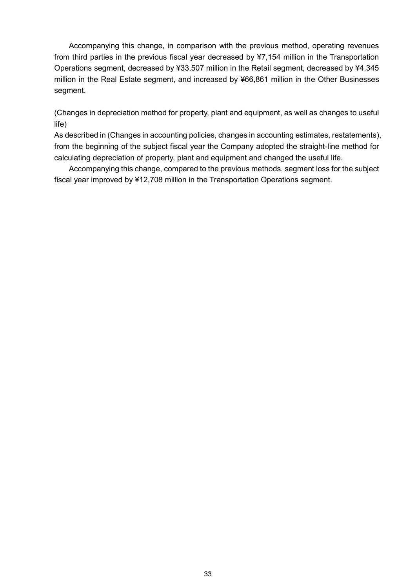Accompanying this change, in comparison with the previous method, operating revenues from third parties in the previous fiscal year decreased by ¥7,154 million in the Transportation Operations segment, decreased by ¥33,507 million in the Retail segment, decreased by ¥4,345 million in the Real Estate segment, and increased by ¥66,861 million in the Other Businesses segment.

(Changes in depreciation method for property, plant and equipment, as well as changes to useful life)

As described in (Changes in accounting policies, changes in accounting estimates, restatements), from the beginning of the subject fiscal year the Company adopted the straight-line method for calculating depreciation of property, plant and equipment and changed the useful life.

Accompanying this change, compared to the previous methods, segment loss for the subject fiscal year improved by ¥12,708 million in the Transportation Operations segment.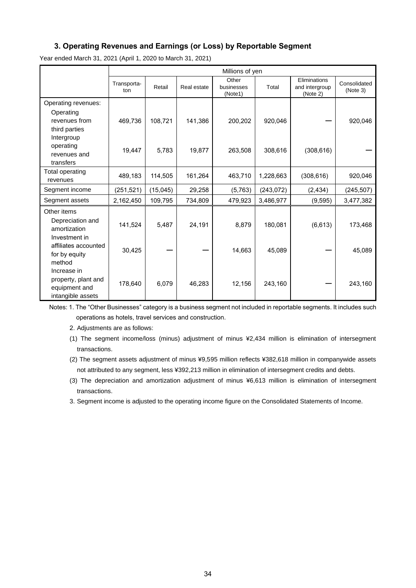### **3. Operating Revenues and Earnings (or Loss) by Reportable Segment**

Year ended March 31, 2021 (April 1, 2020 to March 31, 2021)

|                        | Millions of yen    |          |             |                                |            |                                            |                          |
|------------------------|--------------------|----------|-------------|--------------------------------|------------|--------------------------------------------|--------------------------|
|                        | Transporta-<br>ton | Retail   | Real estate | Other<br>businesses<br>(Note1) | Total      | Eliminations<br>and intergroup<br>(Note 2) | Consolidated<br>(Note 3) |
| Operating revenues:    |                    |          |             |                                |            |                                            |                          |
| Operating              |                    |          |             |                                |            |                                            |                          |
| revenues from          | 469,736            | 108,721  | 141,386     | 200,202                        | 920,046    |                                            | 920,046                  |
| third parties          |                    |          |             |                                |            |                                            |                          |
| Intergroup             |                    |          |             |                                |            |                                            |                          |
| operating              | 19,447             | 5,783    | 19,877      | 263,508                        | 308,616    | (308, 616)                                 |                          |
| revenues and           |                    |          |             |                                |            |                                            |                          |
| transfers              |                    |          |             |                                |            |                                            |                          |
| <b>Total operating</b> | 489,183            | 114,505  | 161,264     | 463,710                        | 1,228,663  | (308, 616)                                 | 920,046                  |
| revenues               |                    |          |             |                                |            |                                            |                          |
| Segment income         | (251, 521)         | (15,045) | 29,258      | (5,763)                        | (243, 072) | (2, 434)                                   | (245, 507)               |
| Segment assets         | 2,162,450          | 109,795  | 734,809     | 479,923                        | 3,486,977  | (9, 595)                                   | 3,477,382                |
| Other items            |                    |          |             |                                |            |                                            |                          |
| Depreciation and       |                    |          |             |                                |            |                                            |                          |
| amortization           | 141,524            | 5,487    | 24,191      | 8,879                          | 180,081    | (6, 613)                                   | 173,468                  |
| Investment in          |                    |          |             |                                |            |                                            |                          |
| affiliates accounted   | 30,425             |          |             |                                |            |                                            |                          |
| for by equity          |                    |          |             | 14,663                         | 45,089     |                                            | 45,089                   |
| method                 |                    |          |             |                                |            |                                            |                          |
| Increase in            |                    |          |             |                                |            |                                            |                          |
| property, plant and    | 178,640            | 6,079    | 46,283      | 12,156                         | 243,160    |                                            | 243,160                  |
| equipment and          |                    |          |             |                                |            |                                            |                          |
| intangible assets      |                    |          |             |                                |            |                                            |                          |

Notes: 1. The "Other Businesses" category is a business segment not included in reportable segments. It includes such operations as hotels, travel services and construction.

2. Adjustments are as follows:

(1) The segment income/loss (minus) adjustment of minus ¥2,434 million is elimination of intersegment transactions.

(2) The segment assets adjustment of minus ¥9,595 million reflects ¥382,618 million in companywide assets not attributed to any segment, less ¥392,213 million in elimination of intersegment credits and debts.

(3) The depreciation and amortization adjustment of minus ¥6,613 million is elimination of intersegment transactions.

3. Segment income is adjusted to the operating income figure on the Consolidated Statements of Income.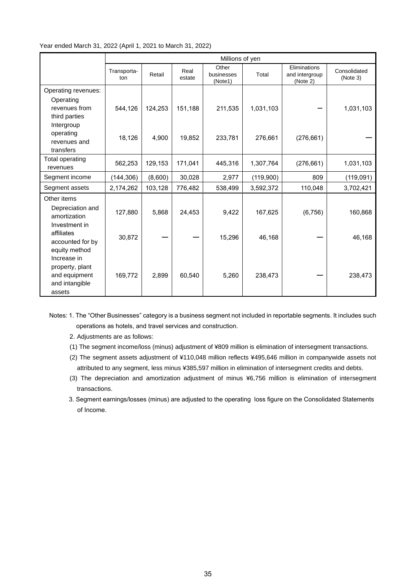#### Year ended March 31, 2022 (April 1, 2021 to March 31, 2022)

|                                                                             | Millions of yen    |         |                |                                |           |                                            |                          |  |
|-----------------------------------------------------------------------------|--------------------|---------|----------------|--------------------------------|-----------|--------------------------------------------|--------------------------|--|
|                                                                             | Transporta-<br>ton | Retail  | Real<br>estate | Other<br>businesses<br>(Note1) | Total     | Eliminations<br>and intergroup<br>(Note 2) | Consolidated<br>(Note 3) |  |
| Operating revenues:                                                         |                    |         |                |                                |           |                                            |                          |  |
| Operating<br>revenues from<br>third parties                                 | 544,126            | 124,253 | 151,188        | 211,535                        | 1,031,103 |                                            | 1,031,103                |  |
| Intergroup<br>operating<br>revenues and<br>transfers                        | 18,126             | 4,900   | 19,852         | 233,781                        | 276,661   | (276, 661)                                 |                          |  |
| Total operating<br>revenues                                                 | 562,253            | 129,153 | 171,041        | 445,316                        | 1,307,764 | (276, 661)                                 | 1,031,103                |  |
| Segment income                                                              | (144, 306)         | (8,600) | 30,028         | 2,977                          | (119,900) | 809                                        | (119,091)                |  |
| Segment assets                                                              | 2,174,262          | 103,128 | 776,482        | 538,499                        | 3,592,372 | 110,048                                    | 3,702,421                |  |
| Other items<br>Depreciation and<br>amortization<br>Investment in            | 127,880            | 5,868   | 24,453         | 9,422                          | 167,625   | (6, 756)                                   | 160,868                  |  |
| affiliates<br>accounted for by<br>equity method                             | 30,872             |         |                | 15,296                         | 46,168    |                                            | 46,168                   |  |
| Increase in<br>property, plant<br>and equipment<br>and intangible<br>assets | 169,772            | 2,899   | 60,540         | 5,260                          | 238,473   |                                            | 238,473                  |  |

Notes: 1. The "Other Businesses" category is a business segment not included in reportable segments. It includes such operations as hotels, and travel services and construction.

- 2. Adjustments are as follows:
- (1) The segment income/loss (minus) adjustment of ¥809 million is elimination of intersegment transactions.
- (2) The segment assets adjustment of ¥110,048 million reflects ¥495,646 million in companywide assets not attributed to any segment, less minus ¥385,597 million in elimination of intersegment credits and debts.
- (3) The depreciation and amortization adjustment of minus ¥6,756 million is elimination of intersegment transactions.
- 3. Segment earnings/losses (minus) are adjusted to the operating loss figure on the Consolidated Statements of Income.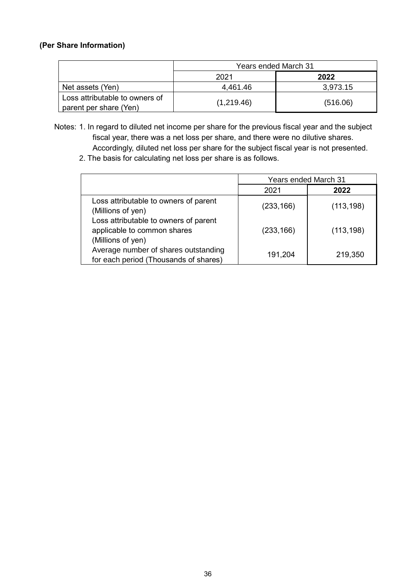# **(Per Share Information)**

|                                                          | <b>Years ended March 31</b> |          |  |  |  |
|----------------------------------------------------------|-----------------------------|----------|--|--|--|
|                                                          | 2021                        | 2022     |  |  |  |
| Net assets (Yen)                                         | 4,461.46                    | 3,973.15 |  |  |  |
| Loss attributable to owners of<br>parent per share (Yen) | (1,219.46)                  | (516.06) |  |  |  |

- Notes: 1. In regard to diluted net income per share for the previous fiscal year and the subject fiscal year, there was a net loss per share, and there were no dilutive shares. Accordingly, diluted net loss per share for the subject fiscal year is not presented.
	- 2. The basis for calculating net loss per share is as follows.

|                                                                                           | <b>Years ended March 31</b> |            |  |
|-------------------------------------------------------------------------------------------|-----------------------------|------------|--|
|                                                                                           | 2021                        | 2022       |  |
| Loss attributable to owners of parent<br>(Millions of yen)                                | (233, 166)                  | (113, 198) |  |
| Loss attributable to owners of parent<br>applicable to common shares<br>(Millions of yen) | (233, 166)                  | (113, 198) |  |
| Average number of shares outstanding<br>for each period (Thousands of shares)             | 191,204                     | 219,350    |  |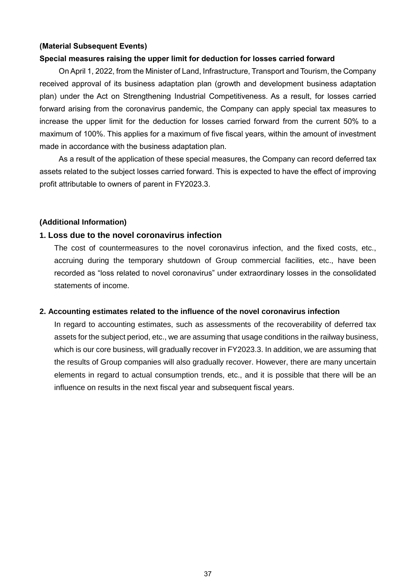### **(Material Subsequent Events)**

#### **Special measures raising the upper limit for deduction for losses carried forward**

On April 1, 2022, from the Minister of Land, Infrastructure, Transport and Tourism, the Company received approval of its business adaptation plan (growth and development business adaptation plan) under the Act on Strengthening Industrial Competitiveness. As a result, for losses carried forward arising from the coronavirus pandemic, the Company can apply special tax measures to increase the upper limit for the deduction for losses carried forward from the current 50% to a maximum of 100%. This applies for a maximum of five fiscal years, within the amount of investment made in accordance with the business adaptation plan.

As a result of the application of these special measures, the Company can record deferred tax assets related to the subject losses carried forward. This is expected to have the effect of improving profit attributable to owners of parent in FY2023.3.

### **(Additional Information)**

### **1. Loss due to the novel coronavirus infection**

The cost of countermeasures to the novel coronavirus infection, and the fixed costs, etc., accruing during the temporary shutdown of Group commercial facilities, etc., have been recorded as "loss related to novel coronavirus" under extraordinary losses in the consolidated statements of income.

#### **2. Accounting estimates related to the influence of the novel coronavirus infection**

In regard to accounting estimates, such as assessments of the recoverability of deferred tax assets for the subject period, etc., we are assuming that usage conditions in the railway business, which is our core business, will gradually recover in FY2023.3. In addition, we are assuming that the results of Group companies will also gradually recover. However, there are many uncertain elements in regard to actual consumption trends, etc., and it is possible that there will be an influence on results in the next fiscal year and subsequent fiscal years.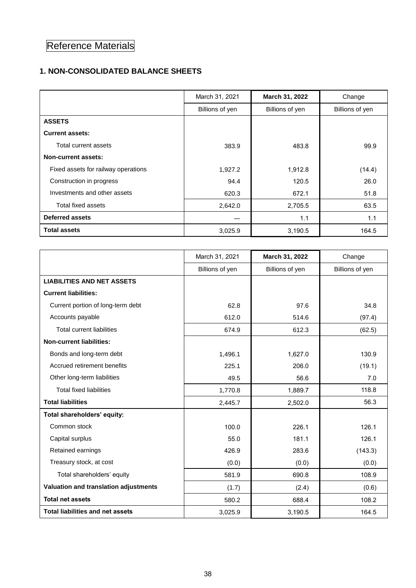# Reference Materials

# **1. NON-CONSOLIDATED BALANCE SHEETS**

|                                     | March 31, 2021  | March 31, 2022  | Change          |
|-------------------------------------|-----------------|-----------------|-----------------|
|                                     | Billions of yen | Billions of yen | Billions of yen |
| <b>ASSETS</b>                       |                 |                 |                 |
| <b>Current assets:</b>              |                 |                 |                 |
| Total current assets                | 383.9           | 483.8           | 99.9            |
| Non-current assets:                 |                 |                 |                 |
| Fixed assets for railway operations | 1,927.2         | 1,912.8         | (14.4)          |
| Construction in progress            | 94.4            | 120.5           | 26.0            |
| Investments and other assets        | 620.3           | 672.1           | 51.8            |
| Total fixed assets                  | 2,642.0         | 2,705.5         | 63.5            |
| <b>Deferred assets</b>              |                 | 1.1             | 1.1             |
| <b>Total assets</b>                 | 3,025.9         | 3,190.5         | 164.5           |

|                                         | March 31, 2021  | March 31, 2022  | Change          |
|-----------------------------------------|-----------------|-----------------|-----------------|
|                                         | Billions of yen | Billions of yen | Billions of yen |
| <b>LIABILITIES AND NET ASSETS</b>       |                 |                 |                 |
| <b>Current liabilities:</b>             |                 |                 |                 |
| Current portion of long-term debt       | 62.8            | 97.6            | 34.8            |
| Accounts payable                        | 612.0           | 514.6           | (97.4)          |
| <b>Total current liabilities</b>        | 674.9           | 612.3           | (62.5)          |
| <b>Non-current liabilities:</b>         |                 |                 |                 |
| Bonds and long-term debt                | 1,496.1         | 1,627.0         | 130.9           |
| Accrued retirement benefits             | 225.1           | 206.0           | (19.1)          |
| Other long-term liabilities             | 49.5            | 56.6            | 7.0             |
| <b>Total fixed liabilities</b>          | 1,770.8         | 1,889.7         | 118.8           |
| <b>Total liabilities</b>                | 2,445.7         | 2,502.0         | 56.3            |
| Total shareholders' equity:             |                 |                 |                 |
| Common stock                            | 100.0           | 226.1           | 126.1           |
| Capital surplus                         | 55.0            | 181.1           | 126.1           |
| Retained earnings                       | 426.9           | 283.6           | (143.3)         |
| Treasury stock, at cost                 | (0.0)           | (0.0)           | (0.0)           |
| Total shareholders' equity              | 581.9           | 690.8           | 108.9           |
| Valuation and translation adjustments   | (1.7)           | (2.4)           | (0.6)           |
| <b>Total net assets</b>                 | 580.2           | 688.4           | 108.2           |
| <b>Total liabilities and net assets</b> | 3,025.9         | 3,190.5         | 164.5           |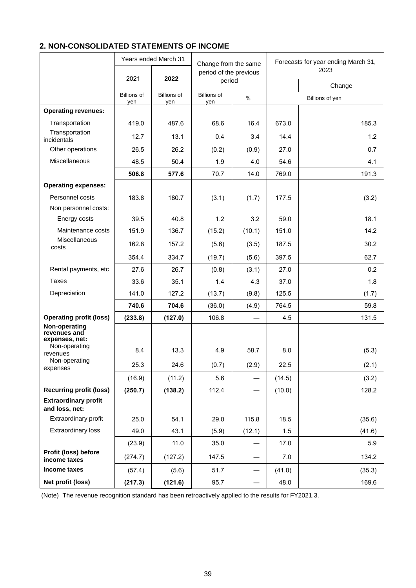# **2. NON-CONSOLIDATED STATEMENTS OF INCOME**

|                                                                  |                           | Years ended March 31      | Change from the same<br>period of the previous |        | Forecasts for year ending March 31, |                 |
|------------------------------------------------------------------|---------------------------|---------------------------|------------------------------------------------|--------|-------------------------------------|-----------------|
|                                                                  |                           |                           |                                                |        |                                     | 2023            |
|                                                                  | 2021                      | 2022                      | period                                         |        |                                     | Change          |
|                                                                  | <b>Billions of</b><br>yen | <b>Billions of</b><br>yen | <b>Billions of</b><br>yen                      | $\%$   |                                     | Billions of yen |
| <b>Operating revenues:</b>                                       |                           |                           |                                                |        |                                     |                 |
| Transportation                                                   | 419.0                     | 487.6                     | 68.6                                           | 16.4   | 673.0                               | 185.3           |
| Transportation<br>incidentals                                    | 12.7                      | 13.1                      | 0.4                                            | 3.4    | 14.4                                | 1.2             |
| Other operations                                                 | 26.5                      | 26.2                      | (0.2)                                          | (0.9)  | 27.0                                | 0.7             |
| Miscellaneous                                                    | 48.5                      | 50.4                      | 1.9                                            | 4.0    | 54.6                                | 4.1             |
|                                                                  | 506.8                     | 577.6                     | 70.7                                           | 14.0   | 769.0                               | 191.3           |
| <b>Operating expenses:</b>                                       |                           |                           |                                                |        |                                     |                 |
| Personnel costs                                                  | 183.8                     | 180.7                     | (3.1)                                          | (1.7)  | 177.5                               | (3.2)           |
| Non personnel costs:                                             |                           |                           |                                                |        |                                     |                 |
| Energy costs                                                     | 39.5                      | 40.8                      | 1.2                                            | 3.2    | 59.0                                | 18.1            |
| Maintenance costs                                                | 151.9                     | 136.7                     | (15.2)                                         | (10.1) | 151.0                               | 14.2            |
| <b>Miscellaneous</b><br>costs                                    | 162.8                     | 157.2                     | (5.6)                                          | (3.5)  | 187.5                               | 30.2            |
|                                                                  | 354.4                     | 334.7                     | (19.7)                                         | (5.6)  | 397.5                               | 62.7            |
| Rental payments, etc                                             | 27.6                      | 26.7                      | (0.8)                                          | (3.1)  | 27.0                                | 0.2             |
| Taxes                                                            | 33.6                      | 35.1                      | 1.4                                            | 4.3    | 37.0                                | 1.8             |
| Depreciation                                                     | 141.0                     | 127.2                     | (13.7)                                         | (9.8)  | 125.5                               | (1.7)           |
|                                                                  | 740.6                     | 704.6                     | (36.0)                                         | (4.9)  | 764.5                               | 59.8            |
| <b>Operating profit (loss)</b>                                   | (233.8)                   | (127.0)                   | 106.8                                          |        | 4.5                                 | 131.5           |
| Non-operating<br>revenues and<br>expenses, net:<br>Non-operating | 8.4                       | 13.3                      | 4.9                                            | 58.7   | 8.0                                 | (5.3)           |
| revenues<br>Non-operating                                        | 25.3                      | 24.6                      | (0.7)                                          | (2.9)  | 22.5                                | (2.1)           |
| expenses                                                         |                           |                           |                                                |        |                                     |                 |
| <b>Recurring profit (loss)</b>                                   | (16.9)<br>(250.7)         | (11.2)                    | 5.6                                            |        | (14.5)                              | (3.2)           |
| <b>Extraordinary profit</b><br>and loss, net:                    |                           | (138.2)                   | 112.4                                          |        | (10.0)                              | 128.2           |
| Extraordinary profit                                             | 25.0                      | 54.1                      | 29.0                                           | 115.8  | 18.5                                | (35.6)          |
| <b>Extraordinary loss</b>                                        | 49.0                      | 43.1                      | (5.9)                                          | (12.1) | 1.5                                 | (41.6)          |
|                                                                  | (23.9)                    | 11.0                      | 35.0                                           |        | 17.0                                | 5.9             |
| Profit (loss) before<br>income taxes                             | (274.7)                   | (127.2)                   | 147.5                                          |        | 7.0                                 | 134.2           |
| Income taxes                                                     | (57.4)                    | (5.6)                     | 51.7                                           |        | (41.0)                              | (35.3)          |
| Net profit (loss)                                                | (217.3)                   | (121.6)                   | 95.7                                           |        | 48.0                                | 169.6           |

(Note) The revenue recognition standard has been retroactively applied to the results for FY2021.3.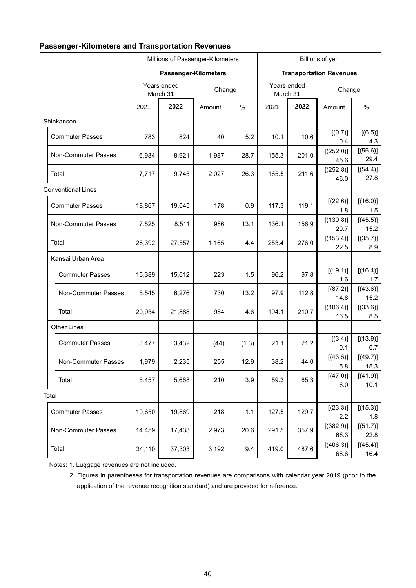| <b>Passenger-Kilometers and Transportation Revenues</b> |  |
|---------------------------------------------------------|--|
|---------------------------------------------------------|--|

|  |                            |        | Millions of Passenger-Kilometers |        |        |       | Billions of yen                |                   |                  |  |
|--|----------------------------|--------|----------------------------------|--------|--------|-------|--------------------------------|-------------------|------------------|--|
|  |                            |        | Passenger-Kilometers             |        |        |       | <b>Transportation Revenues</b> |                   |                  |  |
|  |                            |        | Years ended<br>March 31          |        | Change |       | Years ended<br>March 31        |                   | Change           |  |
|  |                            | 2021   | 2022                             | Amount | %      | 2021  | 2022                           | Amount            | $\%$             |  |
|  | Shinkansen                 |        |                                  |        |        |       |                                |                   |                  |  |
|  | <b>Commuter Passes</b>     | 783    | 824                              | 40     | 5.2    | 10.1  | 10.6                           | [(0.7)]<br>0.4    | [(6.5)]<br>4.3   |  |
|  | Non-Commuter Passes        | 6,934  | 8,921                            | 1,987  | 28.7   | 155.3 | 201.0                          | [(252.0)]<br>45.6 | [(55.6)]<br>29.4 |  |
|  | Total                      | 7,717  | 9,745                            | 2,027  | 26.3   | 165.5 | 211.6                          | [(252.8)]<br>46.0 | [(54.4)]<br>27.8 |  |
|  | <b>Conventional Lines</b>  |        |                                  |        |        |       |                                |                   |                  |  |
|  | <b>Commuter Passes</b>     | 18,867 | 19,045                           | 178    | 0.9    | 117.3 | 119.1                          | [(22.6)]<br>1.8   | [(16.0)]<br>1.5  |  |
|  | <b>Non-Commuter Passes</b> | 7,525  | 8,511                            | 986    | 13.1   | 136.1 | 156.9                          | [(130.8)]<br>20.7 | [(45.5)]<br>15.2 |  |
|  | Total                      | 26,392 | 27,557                           | 1,165  | 4.4    | 253.4 | 276.0                          | [(153.4)]<br>22.5 | [(35.7)]<br>8.9  |  |
|  | Kansai Urban Area          |        |                                  |        |        |       |                                |                   |                  |  |
|  | <b>Commuter Passes</b>     | 15,389 | 15,612                           | 223    | 1.5    | 96.2  | 97.8                           | [(19.1)]<br>1.6   | [(16.4)]<br>1.7  |  |
|  | Non-Commuter Passes        | 5,545  | 6,276                            | 730    | 13.2   | 97.9  | 112.8                          | [(87.2)]<br>14.8  | [(43.6)]<br>15.2 |  |
|  | Total                      | 20,934 | 21,888                           | 954    | 4.6    | 194.1 | 210.7                          | [(106.4)]<br>16.5 | [(33.6)]<br>8.5  |  |
|  | <b>Other Lines</b>         |        |                                  |        |        |       |                                |                   |                  |  |
|  | <b>Commuter Passes</b>     | 3,477  | 3,432                            | (44)   | (1.3)  | 21.1  | 21.2                           | [(3.4)]<br>0.1    | [(13.9)]<br>0.7  |  |
|  | <b>Non-Commuter Passes</b> | 1,979  | 2,235                            | 255    | 12.9   | 38.2  | 44.0                           | [(43.5)]<br>5.8   | [(49.7)]<br>15.3 |  |
|  | Total                      | 5,457  | 5,668                            | 210    | 3.9    | 59.3  | 65.3                           | [(47.0)]<br>6.0   | [(41.9)]<br>10.1 |  |
|  | Total                      |        |                                  |        |        |       |                                |                   |                  |  |
|  | <b>Commuter Passes</b>     | 19,650 | 19,869                           | 218    | $1.1$  | 127.5 | 129.7                          | [(23.3)]<br>2.2   | [(15.3)]<br>1.8  |  |
|  | Non-Commuter Passes        | 14,459 | 17,433                           | 2,973  | 20.6   | 291.5 | 357.9                          | [(382.9)]<br>66.3 | [(51.7)]<br>22.8 |  |
|  | Total                      | 34,110 | 37,303                           | 3,192  | 9.4    | 419.0 | 487.6                          | [(406.3)]<br>68.6 | [(45.4)]<br>16.4 |  |

Notes: 1. Luggage revenues are not included.

2. Figures in parentheses for transportation revenues are comparisons with calendar year 2019 (prior to the application of the revenue recognition standard) and are provided for reference.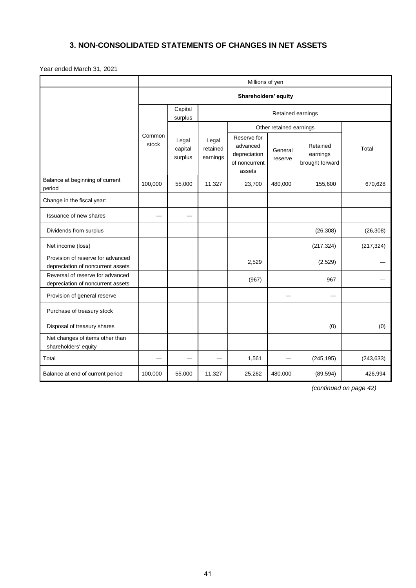# **3. NON-CONSOLIDATED STATEMENTS OF CHANGES IN NET ASSETS**

Year ended March 31, 2021

|                                                                        | Millions of yen |                             |                               |                                                                    |                    |                                         |            |  |
|------------------------------------------------------------------------|-----------------|-----------------------------|-------------------------------|--------------------------------------------------------------------|--------------------|-----------------------------------------|------------|--|
|                                                                        |                 |                             |                               | Shareholders' equity                                               |                    |                                         |            |  |
|                                                                        |                 | Capital<br>surplus          |                               |                                                                    |                    |                                         |            |  |
|                                                                        |                 |                             |                               | Other retained earnings                                            |                    |                                         |            |  |
|                                                                        | Common<br>stock | Legal<br>capital<br>surplus | Legal<br>retained<br>earnings | Reserve for<br>advanced<br>depreciation<br>of noncurrent<br>assets | General<br>reserve | Retained<br>earnings<br>brought forward | Total      |  |
| Balance at beginning of current<br>period                              | 100,000         | 55,000                      | 11,327                        | 23,700                                                             | 480,000            | 155,600                                 | 670,628    |  |
| Change in the fiscal year:                                             |                 |                             |                               |                                                                    |                    |                                         |            |  |
| Issuance of new shares                                                 |                 |                             |                               |                                                                    |                    |                                         |            |  |
| Dividends from surplus                                                 |                 |                             |                               |                                                                    |                    | (26, 308)                               | (26, 308)  |  |
| Net income (loss)                                                      |                 |                             |                               |                                                                    |                    | (217, 324)                              | (217, 324) |  |
| Provision of reserve for advanced<br>depreciation of noncurrent assets |                 |                             |                               | 2,529                                                              |                    | (2,529)                                 |            |  |
| Reversal of reserve for advanced<br>depreciation of noncurrent assets  |                 |                             |                               | (967)                                                              |                    | 967                                     |            |  |
| Provision of general reserve                                           |                 |                             |                               |                                                                    |                    |                                         |            |  |
| Purchase of treasury stock                                             |                 |                             |                               |                                                                    |                    |                                         |            |  |
| Disposal of treasury shares                                            |                 |                             |                               |                                                                    |                    | (0)                                     | (0)        |  |
| Net changes of items other than<br>shareholders' equity                |                 |                             |                               |                                                                    |                    |                                         |            |  |
| Total                                                                  |                 |                             |                               | 1,561                                                              |                    | (245, 195)                              | (243, 633) |  |
| Balance at end of current period                                       | 100,000         | 55,000                      | 11,327                        | 25,262                                                             | 480,000            | (89, 594)                               | 426,994    |  |

*(continued on page 42)*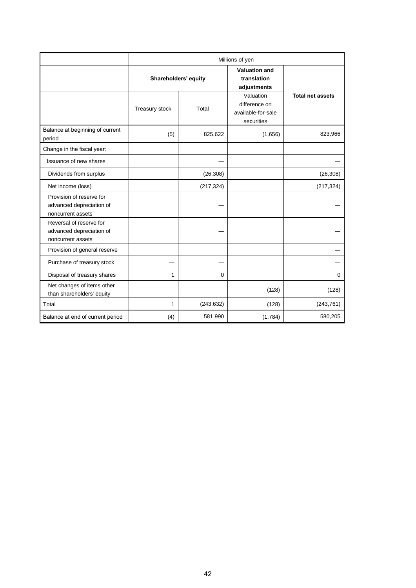|                                                                           | Millions of yen      |            |                                                    |                         |  |
|---------------------------------------------------------------------------|----------------------|------------|----------------------------------------------------|-------------------------|--|
|                                                                           | Shareholders' equity |            | <b>Valuation and</b><br>translation<br>adjustments |                         |  |
|                                                                           | Treasury stock       | Total      |                                                    | <b>Total net assets</b> |  |
| Balance at beginning of current<br>period                                 | (5)                  | 825,622    | (1,656)                                            | 823,966                 |  |
| Change in the fiscal year:                                                |                      |            |                                                    |                         |  |
| Issuance of new shares                                                    |                      |            |                                                    |                         |  |
| Dividends from surplus                                                    |                      | (26, 308)  |                                                    | (26, 308)               |  |
| Net income (loss)                                                         |                      | (217, 324) |                                                    | (217, 324)              |  |
| Provision of reserve for<br>advanced depreciation of<br>noncurrent assets |                      |            |                                                    |                         |  |
| Reversal of reserve for<br>advanced depreciation of<br>noncurrent assets  |                      |            |                                                    |                         |  |
| Provision of general reserve                                              |                      |            |                                                    |                         |  |
| Purchase of treasury stock                                                |                      |            |                                                    |                         |  |
| Disposal of treasury shares                                               | 1                    | 0          |                                                    | 0                       |  |
| Net changes of items other<br>than shareholders' equity                   |                      |            | (128)                                              | (128)                   |  |
| Total                                                                     | 1                    | (243, 632) | (128)                                              | (243, 761)              |  |
| Balance at end of current period                                          | (4)                  | 581,990    | (1,784)                                            | 580,205                 |  |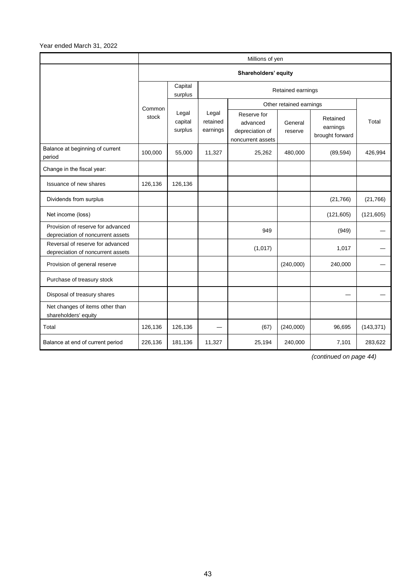Year ended March 31, 2022

|                                                                        | Millions of yen      |                             |                               |                                                                 |                         |                                         |            |
|------------------------------------------------------------------------|----------------------|-----------------------------|-------------------------------|-----------------------------------------------------------------|-------------------------|-----------------------------------------|------------|
|                                                                        | Shareholders' equity |                             |                               |                                                                 |                         |                                         |            |
|                                                                        |                      | Capital<br>surplus          | Retained earnings             |                                                                 |                         |                                         |            |
|                                                                        | Common<br>stock      |                             |                               |                                                                 | Other retained earnings |                                         |            |
|                                                                        |                      | Legal<br>capital<br>surplus | Legal<br>retained<br>earnings | Reserve for<br>advanced<br>depreciation of<br>noncurrent assets | General<br>reserve      | Retained<br>earnings<br>brought forward | Total      |
| Balance at beginning of current<br>period                              | 100,000              | 55,000                      | 11,327                        | 25,262                                                          | 480,000                 | (89, 594)                               | 426,994    |
| Change in the fiscal year:                                             |                      |                             |                               |                                                                 |                         |                                         |            |
| Issuance of new shares                                                 | 126,136              | 126,136                     |                               |                                                                 |                         |                                         |            |
| Dividends from surplus                                                 |                      |                             |                               |                                                                 |                         | (21, 766)                               | (21, 766)  |
| Net income (loss)                                                      |                      |                             |                               |                                                                 |                         | (121, 605)                              | (121, 605) |
| Provision of reserve for advanced<br>depreciation of noncurrent assets |                      |                             |                               | 949                                                             |                         | (949)                                   |            |
| Reversal of reserve for advanced<br>depreciation of noncurrent assets  |                      |                             |                               | (1,017)                                                         |                         | 1,017                                   |            |
| Provision of general reserve                                           |                      |                             |                               |                                                                 | (240,000)               | 240,000                                 |            |
| Purchase of treasury stock                                             |                      |                             |                               |                                                                 |                         |                                         |            |
| Disposal of treasury shares                                            |                      |                             |                               |                                                                 |                         |                                         |            |
| Net changes of items other than<br>shareholders' equity                |                      |                             |                               |                                                                 |                         |                                         |            |
| Total                                                                  | 126,136              | 126,136                     |                               | (67)                                                            | (240,000)               | 96,695                                  | (143, 371) |
| Balance at end of current period                                       | 226,136              | 181,136                     | 11,327                        | 25,194                                                          | 240,000                 | 7,101                                   | 283,622    |

*(continued on page 44)*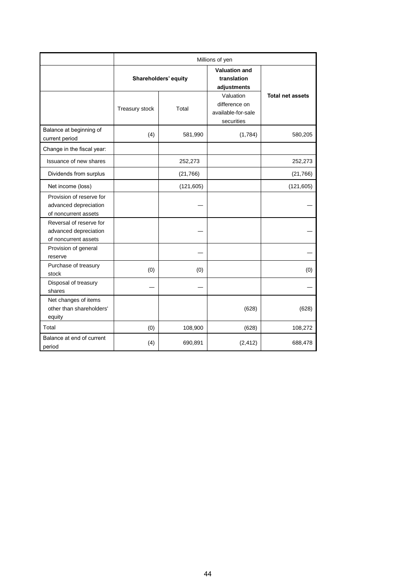|                                                                           | Millions of yen |                      |                                                                |                         |  |  |
|---------------------------------------------------------------------------|-----------------|----------------------|----------------------------------------------------------------|-------------------------|--|--|
|                                                                           |                 | Shareholders' equity | <b>Valuation and</b><br>translation<br>adjustments             | <b>Total net assets</b> |  |  |
|                                                                           | Treasury stock  | Total                | Valuation<br>difference on<br>available-for-sale<br>securities |                         |  |  |
| Balance at beginning of<br>current period                                 | (4)             | 581,990              | (1,784)                                                        | 580,205                 |  |  |
| Change in the fiscal year:                                                |                 |                      |                                                                |                         |  |  |
| Issuance of new shares                                                    |                 | 252,273              |                                                                | 252,273                 |  |  |
| Dividends from surplus                                                    |                 | (21, 766)            |                                                                | (21,766)                |  |  |
| Net income (loss)                                                         |                 | (121, 605)           |                                                                | (121, 605)              |  |  |
| Provision of reserve for<br>advanced depreciation<br>of noncurrent assets |                 |                      |                                                                |                         |  |  |
| Reversal of reserve for<br>advanced depreciation<br>of noncurrent assets  |                 |                      |                                                                |                         |  |  |
| Provision of general<br>reserve                                           |                 |                      |                                                                |                         |  |  |
| Purchase of treasury<br>stock                                             | (0)             | (0)                  |                                                                | (0)                     |  |  |
| Disposal of treasury<br>shares                                            |                 |                      |                                                                |                         |  |  |
| Net changes of items<br>other than shareholders'<br>equity                |                 |                      | (628)                                                          | (628)                   |  |  |
| Total                                                                     | (0)             | 108,900              | (628)                                                          | 108,272                 |  |  |
| Balance at end of current<br>period                                       | (4)             | 690,891              | (2, 412)                                                       | 688,478                 |  |  |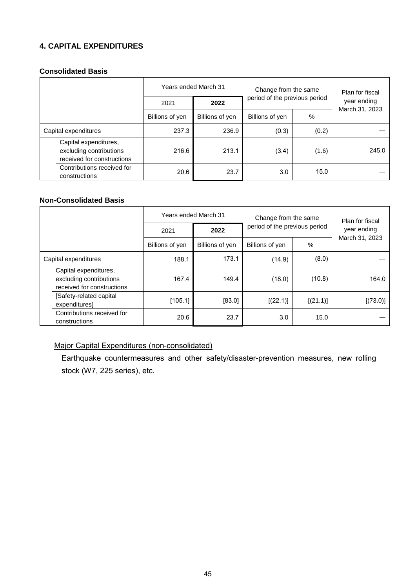# **4. CAPITAL EXPENDITURES**

### **Consolidated Basis**

|                                                                                | Years ended March 31 |                 | Change from the same          |       | Plan for fiscal               |  |
|--------------------------------------------------------------------------------|----------------------|-----------------|-------------------------------|-------|-------------------------------|--|
|                                                                                | 2021                 | 2022            | period of the previous period |       | year ending<br>March 31, 2023 |  |
|                                                                                | Billions of yen      | Billions of yen | Billions of yen               | %     |                               |  |
| Capital expenditures                                                           | 237.3                | 236.9           | (0.3)                         | (0.2) |                               |  |
| Capital expenditures,<br>excluding contributions<br>received for constructions | 216.6                | 213.1           | (3.4)                         | (1.6) | 245.0                         |  |
| Contributions received for<br>constructions                                    | 20.6                 | 23.7            | 3.0                           | 15.0  |                               |  |

## **Non-Consolidated Basis**

|                                                                                |                 | Years ended March 31 | Change from the same<br>period of the previous period |          | Plan for fiscal<br>year ending |  |
|--------------------------------------------------------------------------------|-----------------|----------------------|-------------------------------------------------------|----------|--------------------------------|--|
|                                                                                | 2021            | 2022                 |                                                       |          |                                |  |
|                                                                                | Billions of yen | Billions of yen      | Billions of yen                                       | %        | March 31, 2023                 |  |
| Capital expenditures                                                           | 188.1           | 173.1                | (14.9)                                                | (8.0)    |                                |  |
| Capital expenditures,<br>excluding contributions<br>received for constructions | 167.4           | 149.4                | (18.0)                                                | (10.8)   | 164.0                          |  |
| [Safety-related capital<br>expenditures]                                       | [105.1]         | [83.0]               | [(22.1)]                                              | [(21.1)] | [(73.0)]                       |  |
| Contributions received for<br>constructions                                    | 20.6            | 23.7                 | 3.0                                                   | 15.0     |                                |  |

# Major Capital Expenditures (non-consolidated)

Earthquake countermeasures and other safety/disaster-prevention measures, new rolling stock (W7, 225 series), etc.